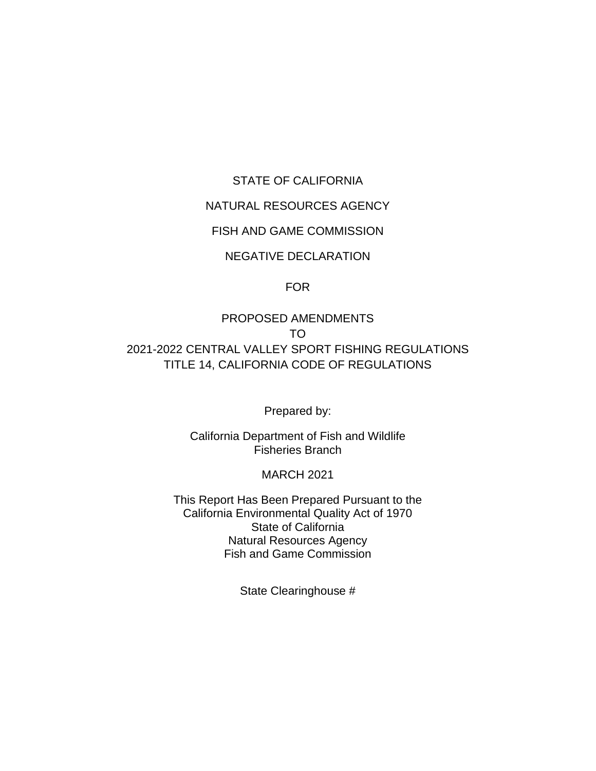### STATE OF CALIFORNIA

## NATURAL RESOURCES AGENCY

### FISH AND GAME COMMISSION

## NEGATIVE DECLARATION

### FOR

PROPOSED AMENDMENTS TO 2021-2022 CENTRAL VALLEY SPORT FISHING REGULATIONS TITLE 14, CALIFORNIA CODE OF REGULATIONS

Prepared by:

California Department of Fish and Wildlife Fisheries Branch

#### MARCH 2021

This Report Has Been Prepared Pursuant to the California Environmental Quality Act of 1970 State of California Natural Resources Agency Fish and Game Commission

State Clearinghouse #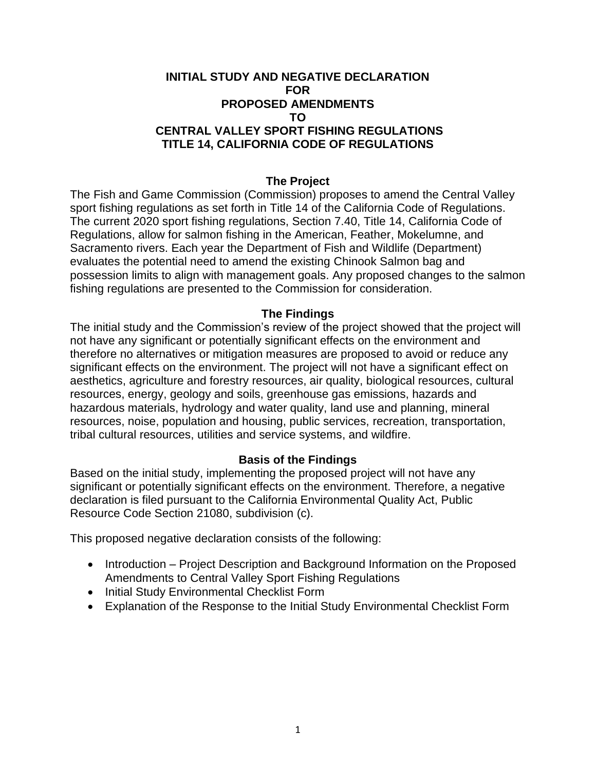### **INITIAL STUDY AND NEGATIVE DECLARATION FOR PROPOSED AMENDMENTS TO CENTRAL VALLEY SPORT FISHING REGULATIONS TITLE 14, CALIFORNIA CODE OF REGULATIONS**

#### **The Project**

The Fish and Game Commission (Commission) proposes to amend the Central Valley sport fishing regulations as set forth in Title 14 of the California Code of Regulations. The current 2020 sport fishing regulations, Section 7.40, Title 14, California Code of Regulations, allow for salmon fishing in the American, Feather, Mokelumne, and Sacramento rivers. Each year the Department of Fish and Wildlife (Department) evaluates the potential need to amend the existing Chinook Salmon bag and possession limits to align with management goals. Any proposed changes to the salmon fishing regulations are presented to the Commission for consideration.

#### **The Findings**

The initial study and the Commission's review of the project showed that the project will not have any significant or potentially significant effects on the environment and therefore no alternatives or mitigation measures are proposed to avoid or reduce any significant effects on the environment. The project will not have a significant effect on aesthetics, agriculture and forestry resources, air quality, biological resources, cultural resources, energy, geology and soils, greenhouse gas emissions, hazards and hazardous materials, hydrology and water quality, land use and planning, mineral resources, noise, population and housing, public services, recreation, transportation, tribal cultural resources, utilities and service systems, and wildfire.

### **Basis of the Findings**

Based on the initial study, implementing the proposed project will not have any significant or potentially significant effects on the environment. Therefore, a negative declaration is filed pursuant to the California Environmental Quality Act, Public Resource Code Section 21080, subdivision (c).

This proposed negative declaration consists of the following:

- Introduction Project Description and Background Information on the Proposed Amendments to Central Valley Sport Fishing Regulations
- Initial Study Environmental Checklist Form
- Explanation of the Response to the Initial Study Environmental Checklist Form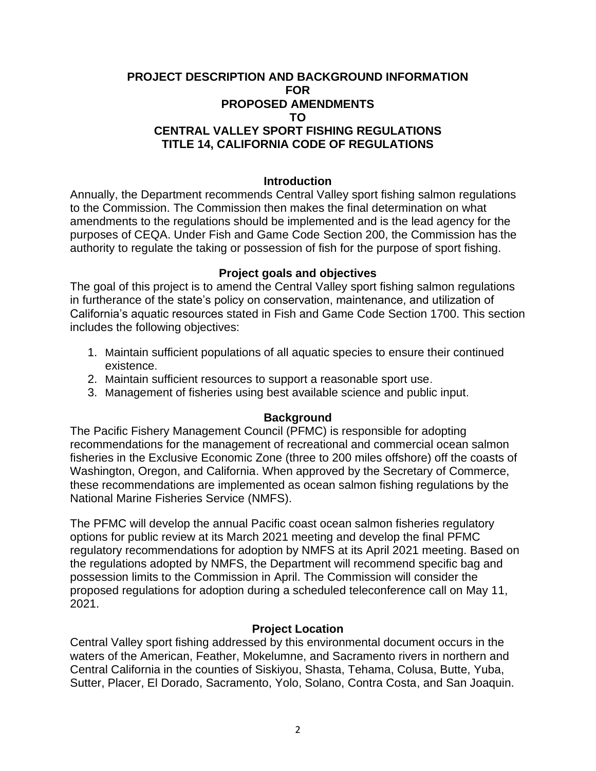### **PROJECT DESCRIPTION AND BACKGROUND INFORMATION FOR PROPOSED AMENDMENTS TO CENTRAL VALLEY SPORT FISHING REGULATIONS TITLE 14, CALIFORNIA CODE OF REGULATIONS**

#### **Introduction**

Annually, the Department recommends Central Valley sport fishing salmon regulations to the Commission. The Commission then makes the final determination on what amendments to the regulations should be implemented and is the lead agency for the purposes of CEQA. Under Fish and Game Code Section 200, the Commission has the authority to regulate the taking or possession of fish for the purpose of sport fishing.

#### **Project goals and objectives**

The goal of this project is to amend the Central Valley sport fishing salmon regulations in furtherance of the state's policy on conservation, maintenance, and utilization of California's aquatic resources stated in Fish and Game Code Section 1700. This section includes the following objectives:

- 1. Maintain sufficient populations of all aquatic species to ensure their continued existence.
- 2. Maintain sufficient resources to support a reasonable sport use.
- 3. Management of fisheries using best available science and public input.

#### **Background**

The Pacific Fishery Management Council (PFMC) is responsible for adopting recommendations for the management of recreational and commercial ocean salmon fisheries in the Exclusive Economic Zone (three to 200 miles offshore) off the coasts of Washington, Oregon, and California. When approved by the Secretary of Commerce, these recommendations are implemented as ocean salmon fishing regulations by the National Marine Fisheries Service (NMFS).

The PFMC will develop the annual Pacific coast ocean salmon fisheries regulatory options for public review at its March 2021 meeting and develop the final PFMC regulatory recommendations for adoption by NMFS at its April 2021 meeting. Based on the regulations adopted by NMFS, the Department will recommend specific bag and possession limits to the Commission in April. The Commission will consider the proposed regulations for adoption during a scheduled teleconference call on May 11, 2021.

#### **Project Location**

Central Valley sport fishing addressed by this environmental document occurs in the waters of the American, Feather, Mokelumne, and Sacramento rivers in northern and Central California in the counties of Siskiyou, Shasta, Tehama, Colusa, Butte, Yuba, Sutter, Placer, El Dorado, Sacramento, Yolo, Solano, Contra Costa, and San Joaquin.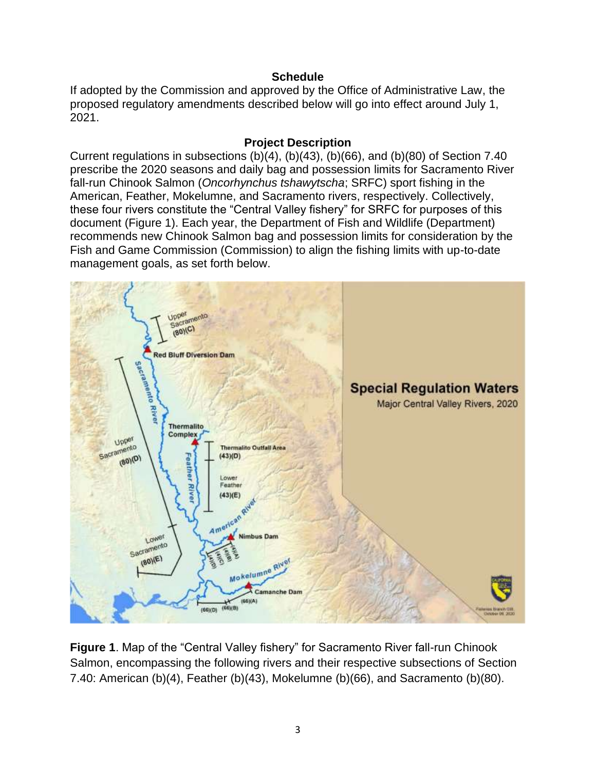### **Schedule**

If adopted by the Commission and approved by the Office of Administrative Law, the proposed regulatory amendments described below will go into effect around July 1, 2021.

### **Project Description**

Current regulations in subsections (b)(4), (b)(43), (b)(66), and (b)(80) of Section 7.40 prescribe the 2020 seasons and daily bag and possession limits for Sacramento River fall-run Chinook Salmon (*Oncorhynchus tshawytscha*; SRFC) sport fishing in the American, Feather, Mokelumne, and Sacramento rivers, respectively. Collectively, these four rivers constitute the "Central Valley fishery" for SRFC for purposes of this document (Figure 1). Each year, the Department of Fish and Wildlife (Department) recommends new Chinook Salmon bag and possession limits for consideration by the Fish and Game Commission (Commission) to align the fishing limits with up-to-date management goals, as set forth below.



**Figure 1**. Map of the "Central Valley fishery" for Sacramento River fall-run Chinook Salmon, encompassing the following rivers and their respective subsections of Section 7.40: American (b)(4), Feather (b)(43), Mokelumne (b)(66), and Sacramento (b)(80).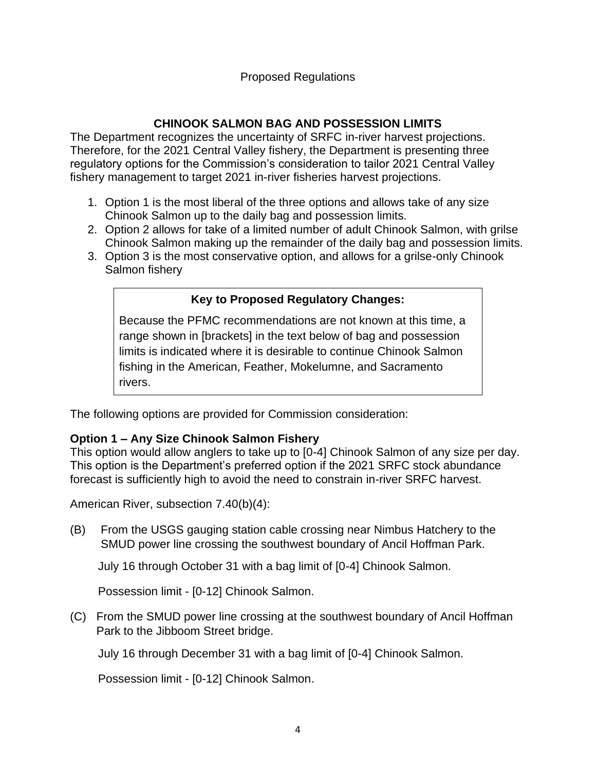# **CHINOOK SALMON BAG AND POSSESSION LIMITS**

The Department recognizes the uncertainty of SRFC in-river harvest projections. Therefore, for the 2021 Central Valley fishery, the Department is presenting three regulatory options for the Commission's consideration to tailor 2021 Central Valley fishery management to target 2021 in-river fisheries harvest projections.

- 1. Option 1 is the most liberal of the three options and allows take of any size Chinook Salmon up to the daily bag and possession limits.
- 2. Option 2 allows for take of a limited number of adult Chinook Salmon, with grilse Chinook Salmon making up the remainder of the daily bag and possession limits.
- 3. Option 3 is the most conservative option, and allows for a grilse-only Chinook Salmon fishery

# **Key to Proposed Regulatory Changes:**

Because the PFMC recommendations are not known at this time, a range shown in [brackets] in the text below of bag and possession limits is indicated where it is desirable to continue Chinook Salmon fishing in the American, Feather, Mokelumne, and Sacramento rivers.

The following options are provided for Commission consideration:

## **Option 1 – Any Size Chinook Salmon Fishery**

This option would allow anglers to take up to [0-4] Chinook Salmon of any size per day. This option is the Department's preferred option if the 2021 SRFC stock abundance forecast is sufficiently high to avoid the need to constrain in-river SRFC harvest.

American River, subsection 7.40(b)(4):

(B) From the USGS gauging station cable crossing near Nimbus Hatchery to the SMUD power line crossing the southwest boundary of Ancil Hoffman Park.

July 16 through October 31 with a bag limit of [0-4] Chinook Salmon.

Possession limit - [0-12] Chinook Salmon.

(C) From the SMUD power line crossing at the southwest boundary of Ancil Hoffman Park to the Jibboom Street bridge.

July 16 through December 31 with a bag limit of [0-4] Chinook Salmon.

Possession limit - [0-12] Chinook Salmon.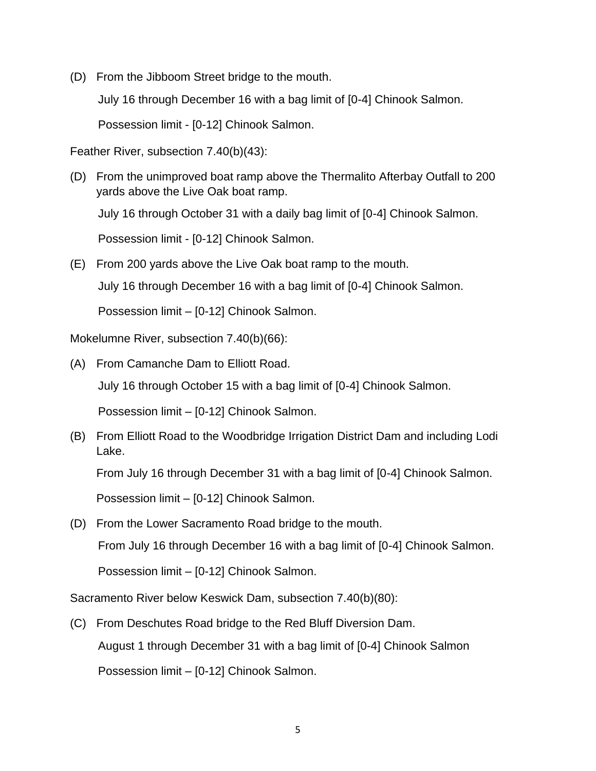(D) From the Jibboom Street bridge to the mouth.

July 16 through December 16 with a bag limit of [0-4] Chinook Salmon.

Possession limit - [0-12] Chinook Salmon.

Feather River, subsection 7.40(b)(43):

- (D) From the unimproved boat ramp above the Thermalito Afterbay Outfall to 200 yards above the Live Oak boat ramp. July 16 through October 31 with a daily bag limit of [0-4] Chinook Salmon. Possession limit - [0-12] Chinook Salmon.
- (E) From 200 yards above the Live Oak boat ramp to the mouth.

July 16 through December 16 with a bag limit of [0-4] Chinook Salmon.

Possession limit – [0-12] Chinook Salmon.

Mokelumne River, subsection 7.40(b)(66):

(A) From Camanche Dam to Elliott Road.

July 16 through October 15 with a bag limit of [0-4] Chinook Salmon.

Possession limit – [0-12] Chinook Salmon.

(B) From Elliott Road to the Woodbridge Irrigation District Dam and including Lodi Lake.

From July 16 through December 31 with a bag limit of [0-4] Chinook Salmon.

Possession limit – [0-12] Chinook Salmon.

(D) From the Lower Sacramento Road bridge to the mouth.

From July 16 through December 16 with a bag limit of [0-4] Chinook Salmon.

Possession limit – [0-12] Chinook Salmon.

Sacramento River below Keswick Dam, subsection 7.40(b)(80):

(C) From Deschutes Road bridge to the Red Bluff Diversion Dam. August 1 through December 31 with a bag limit of [0-4] Chinook Salmon Possession limit – [0-12] Chinook Salmon.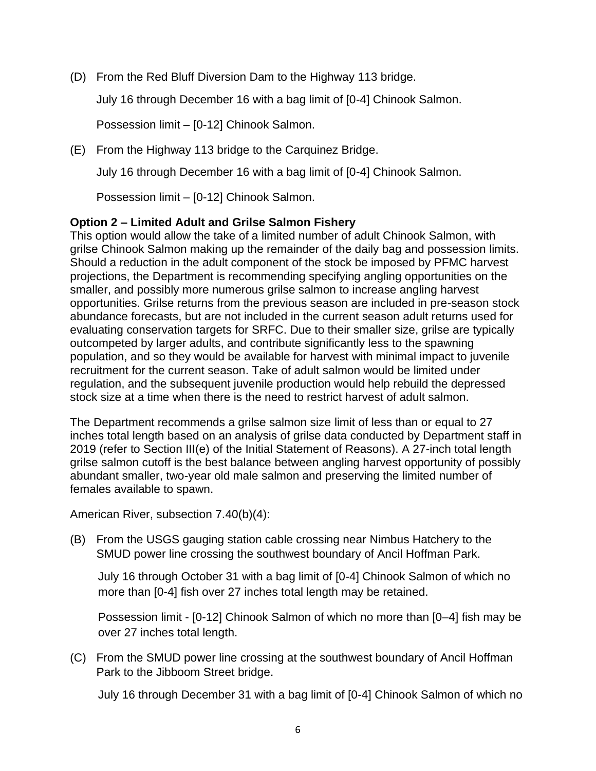(D) From the Red Bluff Diversion Dam to the Highway 113 bridge.

July 16 through December 16 with a bag limit of [0-4] Chinook Salmon.

Possession limit – [0-12] Chinook Salmon.

(E) From the Highway 113 bridge to the Carquinez Bridge.

July 16 through December 16 with a bag limit of [0-4] Chinook Salmon.

Possession limit – [0-12] Chinook Salmon.

### **Option 2 – Limited Adult and Grilse Salmon Fishery**

This option would allow the take of a limited number of adult Chinook Salmon, with grilse Chinook Salmon making up the remainder of the daily bag and possession limits. Should a reduction in the adult component of the stock be imposed by PFMC harvest projections, the Department is recommending specifying angling opportunities on the smaller, and possibly more numerous grilse salmon to increase angling harvest opportunities. Grilse returns from the previous season are included in pre-season stock abundance forecasts, but are not included in the current season adult returns used for evaluating conservation targets for SRFC. Due to their smaller size, grilse are typically outcompeted by larger adults, and contribute significantly less to the spawning population, and so they would be available for harvest with minimal impact to juvenile recruitment for the current season. Take of adult salmon would be limited under regulation, and the subsequent juvenile production would help rebuild the depressed stock size at a time when there is the need to restrict harvest of adult salmon.

The Department recommends a grilse salmon size limit of less than or equal to 27 inches total length based on an analysis of grilse data conducted by Department staff in 2019 (refer to Section III(e) of the Initial Statement of Reasons). A 27-inch total length grilse salmon cutoff is the best balance between angling harvest opportunity of possibly abundant smaller, two-year old male salmon and preserving the limited number of females available to spawn.

American River, subsection 7.40(b)(4):

(B) From the USGS gauging station cable crossing near Nimbus Hatchery to the SMUD power line crossing the southwest boundary of Ancil Hoffman Park.

July 16 through October 31 with a bag limit of [0-4] Chinook Salmon of which no more than [0-4] fish over 27 inches total length may be retained.

Possession limit - [0-12] Chinook Salmon of which no more than [0–4] fish may be over 27 inches total length.

(C) From the SMUD power line crossing at the southwest boundary of Ancil Hoffman Park to the Jibboom Street bridge.

July 16 through December 31 with a bag limit of [0-4] Chinook Salmon of which no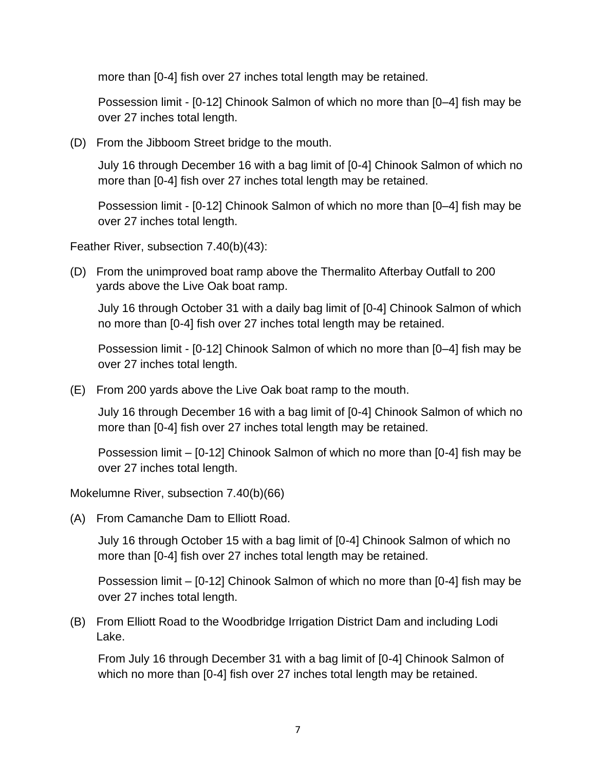more than [0-4] fish over 27 inches total length may be retained.

Possession limit - [0-12] Chinook Salmon of which no more than [0–4] fish may be over 27 inches total length.

(D) From the Jibboom Street bridge to the mouth.

July 16 through December 16 with a bag limit of [0-4] Chinook Salmon of which no more than [0-4] fish over 27 inches total length may be retained.

Possession limit - [0-12] Chinook Salmon of which no more than [0–4] fish may be over 27 inches total length.

Feather River, subsection 7.40(b)(43):

(D) From the unimproved boat ramp above the Thermalito Afterbay Outfall to 200 yards above the Live Oak boat ramp.

July 16 through October 31 with a daily bag limit of [0-4] Chinook Salmon of which no more than [0-4] fish over 27 inches total length may be retained.

Possession limit - [0-12] Chinook Salmon of which no more than [0–4] fish may be over 27 inches total length.

(E) From 200 yards above the Live Oak boat ramp to the mouth.

July 16 through December 16 with a bag limit of [0-4] Chinook Salmon of which no more than [0-4] fish over 27 inches total length may be retained.

Possession limit – [0-12] Chinook Salmon of which no more than [0-4] fish may be over 27 inches total length.

Mokelumne River, subsection 7.40(b)(66)

(A) From Camanche Dam to Elliott Road.

July 16 through October 15 with a bag limit of [0-4] Chinook Salmon of which no more than [0-4] fish over 27 inches total length may be retained.

Possession limit – [0-12] Chinook Salmon of which no more than [0-4] fish may be over 27 inches total length.

(B) From Elliott Road to the Woodbridge Irrigation District Dam and including Lodi Lake.

From July 16 through December 31 with a bag limit of [0-4] Chinook Salmon of which no more than [0-4] fish over 27 inches total length may be retained.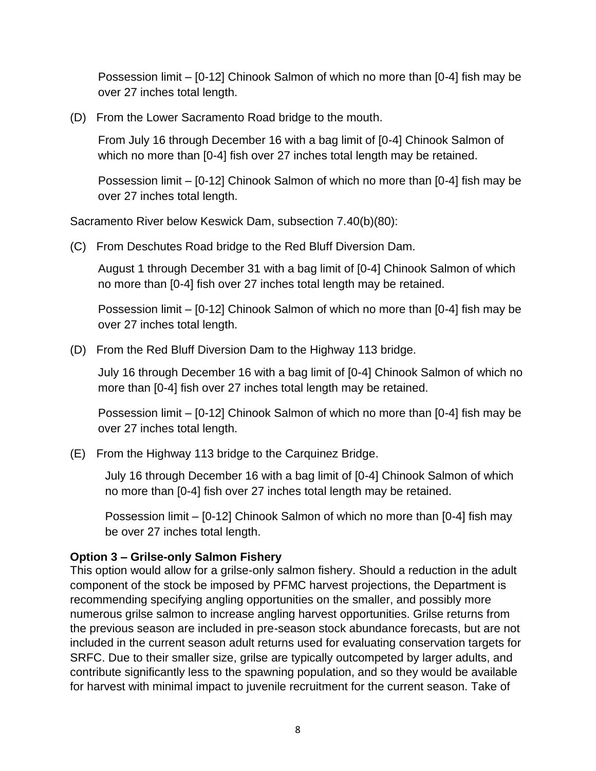Possession limit – [0-12] Chinook Salmon of which no more than [0-4] fish may be over 27 inches total length.

(D) From the Lower Sacramento Road bridge to the mouth.

From July 16 through December 16 with a bag limit of [0-4] Chinook Salmon of which no more than [0-4] fish over 27 inches total length may be retained.

Possession limit – [0-12] Chinook Salmon of which no more than [0-4] fish may be over 27 inches total length.

Sacramento River below Keswick Dam, subsection 7.40(b)(80):

(C) From Deschutes Road bridge to the Red Bluff Diversion Dam.

August 1 through December 31 with a bag limit of [0-4] Chinook Salmon of which no more than [0-4] fish over 27 inches total length may be retained.

Possession limit – [0-12] Chinook Salmon of which no more than [0-4] fish may be over 27 inches total length.

(D) From the Red Bluff Diversion Dam to the Highway 113 bridge.

July 16 through December 16 with a bag limit of [0-4] Chinook Salmon of which no more than [0-4] fish over 27 inches total length may be retained.

Possession limit – [0-12] Chinook Salmon of which no more than [0-4] fish may be over 27 inches total length.

(E) From the Highway 113 bridge to the Carquinez Bridge.

July 16 through December 16 with a bag limit of [0-4] Chinook Salmon of which no more than [0-4] fish over 27 inches total length may be retained.

Possession limit – [0-12] Chinook Salmon of which no more than [0-4] fish may be over 27 inches total length.

## **Option 3 – Grilse-only Salmon Fishery**

This option would allow for a grilse-only salmon fishery. Should a reduction in the adult component of the stock be imposed by PFMC harvest projections, the Department is recommending specifying angling opportunities on the smaller, and possibly more numerous grilse salmon to increase angling harvest opportunities. Grilse returns from the previous season are included in pre-season stock abundance forecasts, but are not included in the current season adult returns used for evaluating conservation targets for SRFC. Due to their smaller size, grilse are typically outcompeted by larger adults, and contribute significantly less to the spawning population, and so they would be available for harvest with minimal impact to juvenile recruitment for the current season. Take of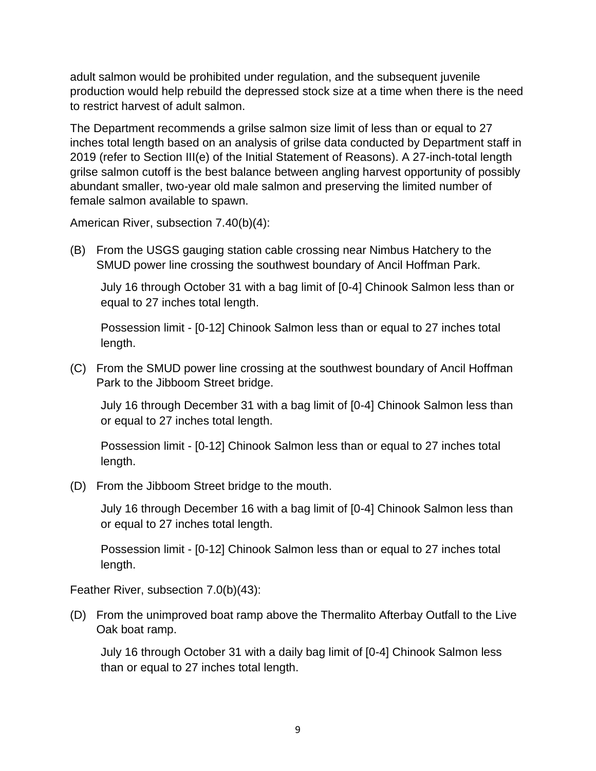adult salmon would be prohibited under regulation, and the subsequent juvenile production would help rebuild the depressed stock size at a time when there is the need to restrict harvest of adult salmon.

The Department recommends a grilse salmon size limit of less than or equal to 27 inches total length based on an analysis of grilse data conducted by Department staff in 2019 (refer to Section III(e) of the Initial Statement of Reasons). A 27-inch-total length grilse salmon cutoff is the best balance between angling harvest opportunity of possibly abundant smaller, two-year old male salmon and preserving the limited number of female salmon available to spawn.

American River, subsection 7.40(b)(4):

(B) From the USGS gauging station cable crossing near Nimbus Hatchery to the SMUD power line crossing the southwest boundary of Ancil Hoffman Park.

July 16 through October 31 with a bag limit of [0-4] Chinook Salmon less than or equal to 27 inches total length.

Possession limit - [0-12] Chinook Salmon less than or equal to 27 inches total length.

(C) From the SMUD power line crossing at the southwest boundary of Ancil Hoffman Park to the Jibboom Street bridge.

July 16 through December 31 with a bag limit of [0-4] Chinook Salmon less than or equal to 27 inches total length.

Possession limit - [0-12] Chinook Salmon less than or equal to 27 inches total length.

(D) From the Jibboom Street bridge to the mouth.

July 16 through December 16 with a bag limit of [0-4] Chinook Salmon less than or equal to 27 inches total length.

Possession limit - [0-12] Chinook Salmon less than or equal to 27 inches total length.

Feather River, subsection 7.0(b)(43):

(D) From the unimproved boat ramp above the Thermalito Afterbay Outfall to the Live Oak boat ramp.

July 16 through October 31 with a daily bag limit of [0-4] Chinook Salmon less than or equal to 27 inches total length.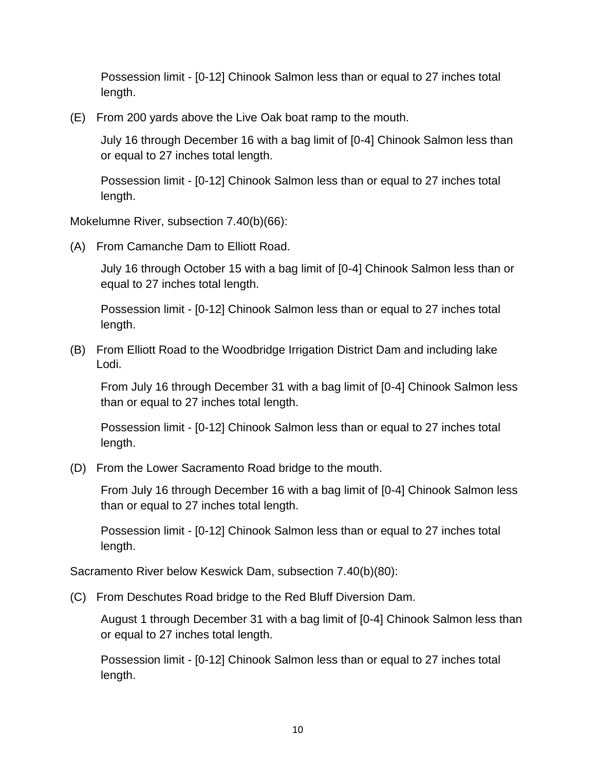Possession limit - [0-12] Chinook Salmon less than or equal to 27 inches total length.

(E) From 200 yards above the Live Oak boat ramp to the mouth.

July 16 through December 16 with a bag limit of [0-4] Chinook Salmon less than or equal to 27 inches total length.

Possession limit - [0-12] Chinook Salmon less than or equal to 27 inches total length.

Mokelumne River, subsection 7.40(b)(66):

(A) From Camanche Dam to Elliott Road.

July 16 through October 15 with a bag limit of [0-4] Chinook Salmon less than or equal to 27 inches total length.

Possession limit - [0-12] Chinook Salmon less than or equal to 27 inches total length.

(B) From Elliott Road to the Woodbridge Irrigation District Dam and including lake Lodi.

From July 16 through December 31 with a bag limit of [0-4] Chinook Salmon less than or equal to 27 inches total length.

Possession limit - [0-12] Chinook Salmon less than or equal to 27 inches total length.

(D) From the Lower Sacramento Road bridge to the mouth.

From July 16 through December 16 with a bag limit of [0-4] Chinook Salmon less than or equal to 27 inches total length.

Possession limit - [0-12] Chinook Salmon less than or equal to 27 inches total length.

Sacramento River below Keswick Dam, subsection 7.40(b)(80):

(C) From Deschutes Road bridge to the Red Bluff Diversion Dam.

August 1 through December 31 with a bag limit of [0-4] Chinook Salmon less than or equal to 27 inches total length.

Possession limit - [0-12] Chinook Salmon less than or equal to 27 inches total length.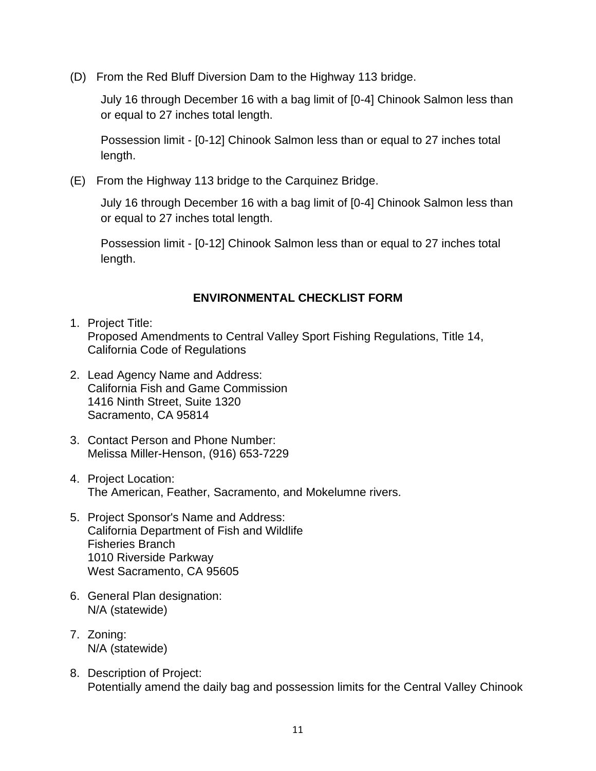(D) From the Red Bluff Diversion Dam to the Highway 113 bridge.

July 16 through December 16 with a bag limit of [0-4] Chinook Salmon less than or equal to 27 inches total length.

Possession limit - [0-12] Chinook Salmon less than or equal to 27 inches total length.

(E) From the Highway 113 bridge to the Carquinez Bridge.

July 16 through December 16 with a bag limit of [0-4] Chinook Salmon less than or equal to 27 inches total length.

Possession limit - [0-12] Chinook Salmon less than or equal to 27 inches total length.

### **ENVIRONMENTAL CHECKLIST FORM**

- 1. Project Title: Proposed Amendments to Central Valley Sport Fishing Regulations, Title 14, California Code of Regulations
- 2. Lead Agency Name and Address: California Fish and Game Commission 1416 Ninth Street, Suite 1320 Sacramento, CA 95814
- 3. Contact Person and Phone Number: Melissa Miller-Henson, (916) 653-7229
- 4. Project Location: The American, Feather, Sacramento, and Mokelumne rivers.
- 5. Project Sponsor's Name and Address: California Department of Fish and Wildlife Fisheries Branch 1010 Riverside Parkway West Sacramento, CA 95605
- 6. General Plan designation: N/A (statewide)
- 7. Zoning: N/A (statewide)
- 8. Description of Project: Potentially amend the daily bag and possession limits for the Central Valley Chinook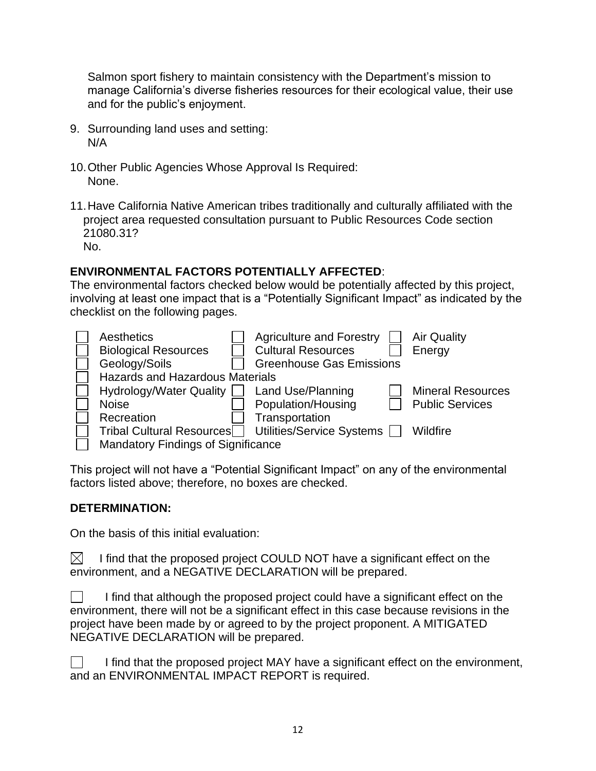Salmon sport fishery to maintain consistency with the Department's mission to manage California's diverse fisheries resources for their ecological value, their use and for the public's enjoyment.

- 9. Surrounding land uses and setting: N/A
- 10.Other Public Agencies Whose Approval Is Required: None.
- 11.Have California Native American tribes traditionally and culturally affiliated with the project area requested consultation pursuant to Public Resources Code section 21080.31? No.

## **ENVIRONMENTAL FACTORS POTENTIALLY AFFECTED**:

The environmental factors checked below would be potentially affected by this project, involving at least one impact that is a "Potentially Significant Impact" as indicated by the checklist on the following pages.

| Aesthetics                                | <b>Agriculture and Forestry</b> | <b>Air Quality</b>       |
|-------------------------------------------|---------------------------------|--------------------------|
| <b>Biological Resources</b>               | <b>Cultural Resources</b>       | Energy                   |
| Geology/Soils                             | <b>Greenhouse Gas Emissions</b> |                          |
| <b>Hazards and Hazardous Materials</b>    |                                 |                          |
| Hydrology/Water Quality                   | Land Use/Planning               | <b>Mineral Resources</b> |
| <b>Noise</b>                              | Population/Housing              | <b>Public Services</b>   |
| Recreation                                | Transportation                  |                          |
| <b>Tribal Cultural Resources</b>          | Utilities/Service Systems       | Wildfire                 |
| <b>Mandatory Findings of Significance</b> |                                 |                          |

This project will not have a "Potential Significant Impact" on any of the environmental factors listed above; therefore, no boxes are checked.

## **DETERMINATION:**

On the basis of this initial evaluation:

 $\boxtimes^-$ I find that the proposed project COULD NOT have a significant effect on the environment, and a NEGATIVE DECLARATION will be prepared.

| $\Box$<br>I find that although the proposed project could have a significant effect on the |
|--------------------------------------------------------------------------------------------|
| environment, there will not be a significant effect in this case because revisions in the  |
| project have been made by or agreed to by the project proponent. A MITIGATED               |
| NEGATIVE DECLARATION will be prepared.                                                     |

| I find that the proposed project MAY have a significant effect on the environment, |
|------------------------------------------------------------------------------------|
| and an ENVIRONMENTAL IMPACT REPORT is required.                                    |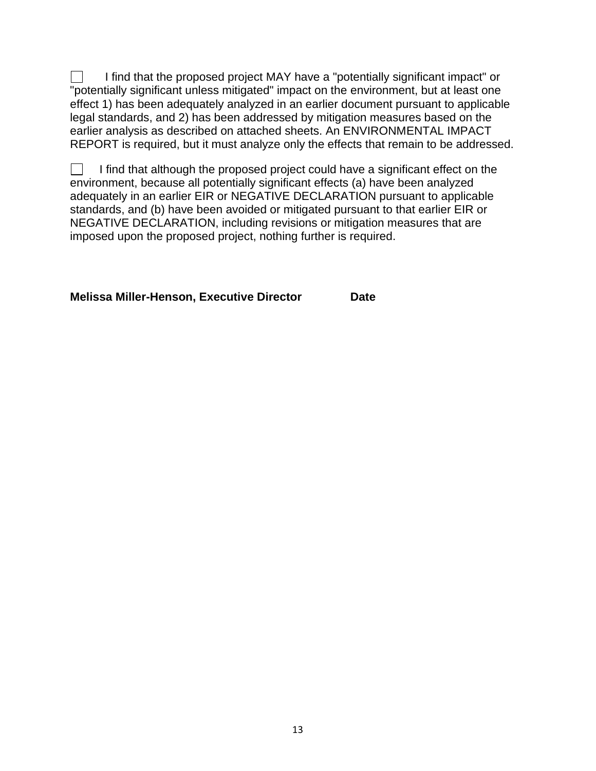I find that the proposed project MAY have a "potentially significant impact" or "potentially significant unless mitigated" impact on the environment, but at least one effect 1) has been adequately analyzed in an earlier document pursuant to applicable legal standards, and 2) has been addressed by mitigation measures based on the earlier analysis as described on attached sheets. An ENVIRONMENTAL IMPACT REPORT is required, but it must analyze only the effects that remain to be addressed.

I find that although the proposed project could have a significant effect on the  $\Box$ environment, because all potentially significant effects (a) have been analyzed adequately in an earlier EIR or NEGATIVE DECLARATION pursuant to applicable standards, and (b) have been avoided or mitigated pursuant to that earlier EIR or NEGATIVE DECLARATION, including revisions or mitigation measures that are imposed upon the proposed project, nothing further is required.

**Melissa Miller-Henson, Executive Director Date**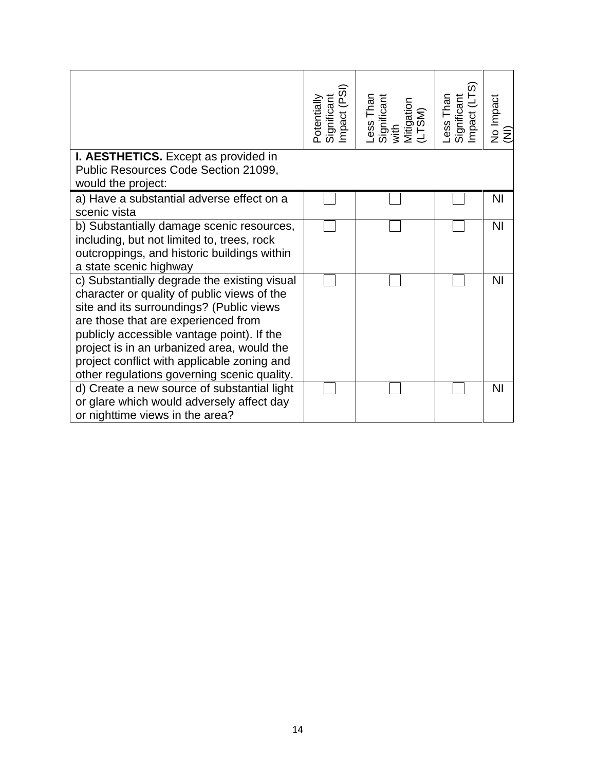|                                                                                                                                                                                                                                                                                                                                                                          | (PSI)<br>Significant<br>Impact (PS<br><b>Potentially</b> | Less Than<br>Significant<br>with<br>Mitigation<br>Mitigation | Less Than<br>Significant<br>Impact (LTS) | No Impact<br>( <u>N</u> I) |
|--------------------------------------------------------------------------------------------------------------------------------------------------------------------------------------------------------------------------------------------------------------------------------------------------------------------------------------------------------------------------|----------------------------------------------------------|--------------------------------------------------------------|------------------------------------------|----------------------------|
| I. AESTHETICS. Except as provided in<br>Public Resources Code Section 21099,<br>would the project:                                                                                                                                                                                                                                                                       |                                                          |                                                              |                                          |                            |
| a) Have a substantial adverse effect on a<br>scenic vista                                                                                                                                                                                                                                                                                                                |                                                          |                                                              |                                          | ΝI                         |
| b) Substantially damage scenic resources,<br>including, but not limited to, trees, rock<br>outcroppings, and historic buildings within<br>a state scenic highway                                                                                                                                                                                                         |                                                          |                                                              |                                          | N <sub>1</sub>             |
| c) Substantially degrade the existing visual<br>character or quality of public views of the<br>site and its surroundings? (Public views<br>are those that are experienced from<br>publicly accessible vantage point). If the<br>project is in an urbanized area, would the<br>project conflict with applicable zoning and<br>other regulations governing scenic quality. |                                                          |                                                              |                                          | <b>NI</b>                  |
| d) Create a new source of substantial light<br>or glare which would adversely affect day<br>or nighttime views in the area?                                                                                                                                                                                                                                              |                                                          |                                                              |                                          | N <sub>1</sub>             |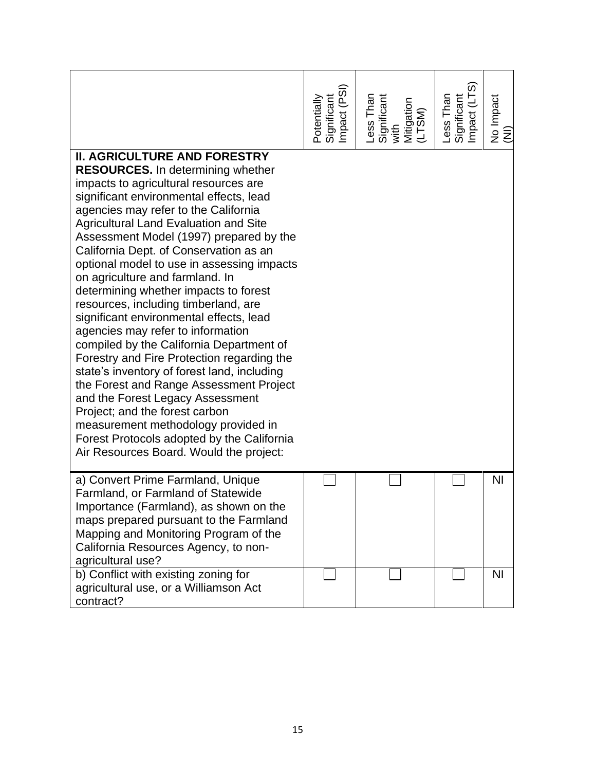|                                                                                                                                                                                                                                                                                                                                                                                                                                                                                                                                                                                                                                                                                                                                                                                                                                                                                                                                                                                              | (PSI)<br>Potentially<br>Significant<br>Impact (PS | Less Than<br>Significant<br>with<br>Mitigation<br>Mitigation | Less Than<br>Significant<br>Impact (LTS) | No Impact<br>$\overline{z}$ |
|----------------------------------------------------------------------------------------------------------------------------------------------------------------------------------------------------------------------------------------------------------------------------------------------------------------------------------------------------------------------------------------------------------------------------------------------------------------------------------------------------------------------------------------------------------------------------------------------------------------------------------------------------------------------------------------------------------------------------------------------------------------------------------------------------------------------------------------------------------------------------------------------------------------------------------------------------------------------------------------------|---------------------------------------------------|--------------------------------------------------------------|------------------------------------------|-----------------------------|
| <b>II. AGRICULTURE AND FORESTRY</b><br><b>RESOURCES.</b> In determining whether<br>impacts to agricultural resources are<br>significant environmental effects, lead<br>agencies may refer to the California<br><b>Agricultural Land Evaluation and Site</b><br>Assessment Model (1997) prepared by the<br>California Dept. of Conservation as an<br>optional model to use in assessing impacts<br>on agriculture and farmland. In<br>determining whether impacts to forest<br>resources, including timberland, are<br>significant environmental effects, lead<br>agencies may refer to information<br>compiled by the California Department of<br>Forestry and Fire Protection regarding the<br>state's inventory of forest land, including<br>the Forest and Range Assessment Project<br>and the Forest Legacy Assessment<br>Project; and the forest carbon<br>measurement methodology provided in<br>Forest Protocols adopted by the California<br>Air Resources Board. Would the project: |                                                   |                                                              |                                          |                             |
| a) Convert Prime Farmland, Unique<br>Farmland, or Farmland of Statewide<br>Importance (Farmland), as shown on the<br>maps prepared pursuant to the Farmland<br>Mapping and Monitoring Program of the<br>California Resources Agency, to non-<br>agricultural use?                                                                                                                                                                                                                                                                                                                                                                                                                                                                                                                                                                                                                                                                                                                            |                                                   |                                                              |                                          | <b>NI</b>                   |
| b) Conflict with existing zoning for<br>agricultural use, or a Williamson Act<br>contract?                                                                                                                                                                                                                                                                                                                                                                                                                                                                                                                                                                                                                                                                                                                                                                                                                                                                                                   |                                                   |                                                              |                                          | N <sub>l</sub>              |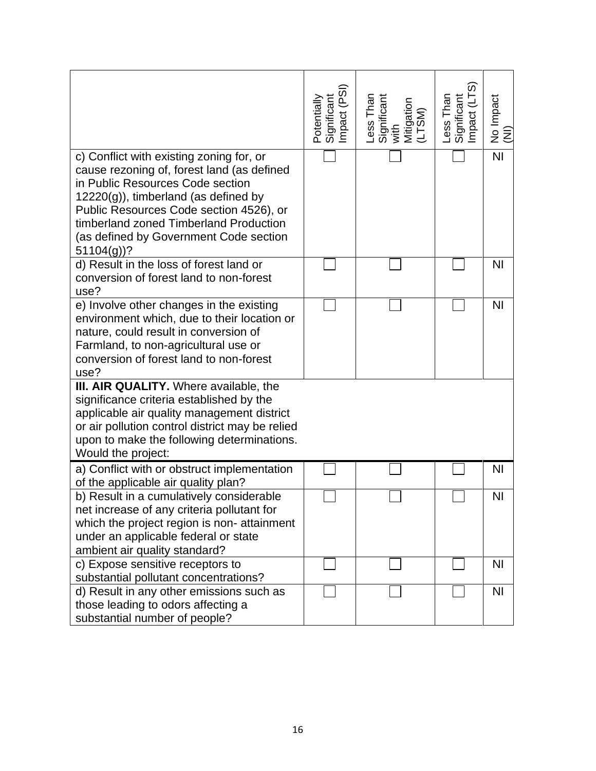|                                                                                                                                                                                                                                                                                                                     | (PSI)<br>Potentially<br>Significant<br>Impact (PS | Less Than<br>Significant<br>with<br>Mitigation<br>(LTSM) | Less Than<br>Significant<br>Impact (LTS) | No Impact<br>(NI) |
|---------------------------------------------------------------------------------------------------------------------------------------------------------------------------------------------------------------------------------------------------------------------------------------------------------------------|---------------------------------------------------|----------------------------------------------------------|------------------------------------------|-------------------|
| c) Conflict with existing zoning for, or<br>cause rezoning of, forest land (as defined<br>in Public Resources Code section<br>$12220(g)$ , timberland (as defined by<br>Public Resources Code section 4526), or<br>timberland zoned Timberland Production<br>(as defined by Government Code section<br>$51104(g)$ ? |                                                   |                                                          |                                          | $\overline{N}$    |
| d) Result in the loss of forest land or<br>conversion of forest land to non-forest<br>use?                                                                                                                                                                                                                          |                                                   |                                                          |                                          | N <sub>l</sub>    |
| e) Involve other changes in the existing<br>environment which, due to their location or<br>nature, could result in conversion of<br>Farmland, to non-agricultural use or<br>conversion of forest land to non-forest<br>use?                                                                                         |                                                   |                                                          |                                          | <b>NI</b>         |
| III. AIR QUALITY. Where available, the<br>significance criteria established by the<br>applicable air quality management district<br>or air pollution control district may be relied<br>upon to make the following determinations.<br>Would the project:                                                             |                                                   |                                                          |                                          |                   |
| a) Conflict with or obstruct implementation<br>of the applicable air quality plan?                                                                                                                                                                                                                                  |                                                   |                                                          |                                          | <b>NI</b>         |
| b) Result in a cumulatively considerable<br>net increase of any criteria pollutant for<br>which the project region is non-attainment<br>under an applicable federal or state<br>ambient air quality standard?                                                                                                       |                                                   |                                                          |                                          | <b>NI</b>         |
| c) Expose sensitive receptors to<br>substantial pollutant concentrations?                                                                                                                                                                                                                                           |                                                   |                                                          |                                          | N <sub>l</sub>    |
| d) Result in any other emissions such as<br>those leading to odors affecting a<br>substantial number of people?                                                                                                                                                                                                     |                                                   |                                                          |                                          | N <sub>1</sub>    |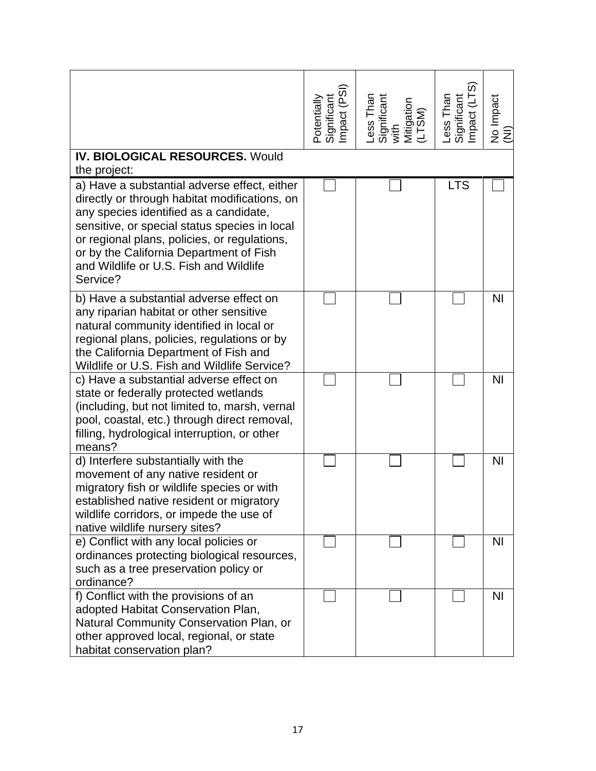|                                                                                                                                                                                                                                                                                                                                           | Potentially<br>Significant<br>Impact (PSI) | Less Than<br>Significant<br>with<br>Mitigation<br>(LTSM) | Less Than<br>Significant<br>Impact (LTS) | No Impact<br>(NI) |
|-------------------------------------------------------------------------------------------------------------------------------------------------------------------------------------------------------------------------------------------------------------------------------------------------------------------------------------------|--------------------------------------------|----------------------------------------------------------|------------------------------------------|-------------------|
| <b>IV. BIOLOGICAL RESOURCES. Would</b><br>the project:                                                                                                                                                                                                                                                                                    |                                            |                                                          |                                          |                   |
| a) Have a substantial adverse effect, either<br>directly or through habitat modifications, on<br>any species identified as a candidate,<br>sensitive, or special status species in local<br>or regional plans, policies, or regulations,<br>or by the California Department of Fish<br>and Wildlife or U.S. Fish and Wildlife<br>Service? |                                            |                                                          | <b>LTS</b>                               |                   |
| b) Have a substantial adverse effect on<br>any riparian habitat or other sensitive<br>natural community identified in local or<br>regional plans, policies, regulations or by<br>the California Department of Fish and<br>Wildlife or U.S. Fish and Wildlife Service?                                                                     |                                            |                                                          |                                          | <b>NI</b>         |
| c) Have a substantial adverse effect on<br>state or federally protected wetlands<br>(including, but not limited to, marsh, vernal<br>pool, coastal, etc.) through direct removal,<br>filling, hydrological interruption, or other<br>means?                                                                                               |                                            |                                                          |                                          | N <sub>l</sub>    |
| d) Interfere substantially with the<br>movement of any native resident or<br>migratory fish or wildlife species or with<br>established native resident or migratory<br>wildlife corridors, or impede the use of<br>native wildlife nursery sites?                                                                                         |                                            |                                                          |                                          | <b>NI</b>         |
| e) Conflict with any local policies or<br>ordinances protecting biological resources,<br>such as a tree preservation policy or<br>ordinance?                                                                                                                                                                                              |                                            |                                                          |                                          | N <sub>1</sub>    |
| f) Conflict with the provisions of an<br>adopted Habitat Conservation Plan,<br>Natural Community Conservation Plan, or<br>other approved local, regional, or state<br>habitat conservation plan?                                                                                                                                          |                                            |                                                          |                                          | N <sub>1</sub>    |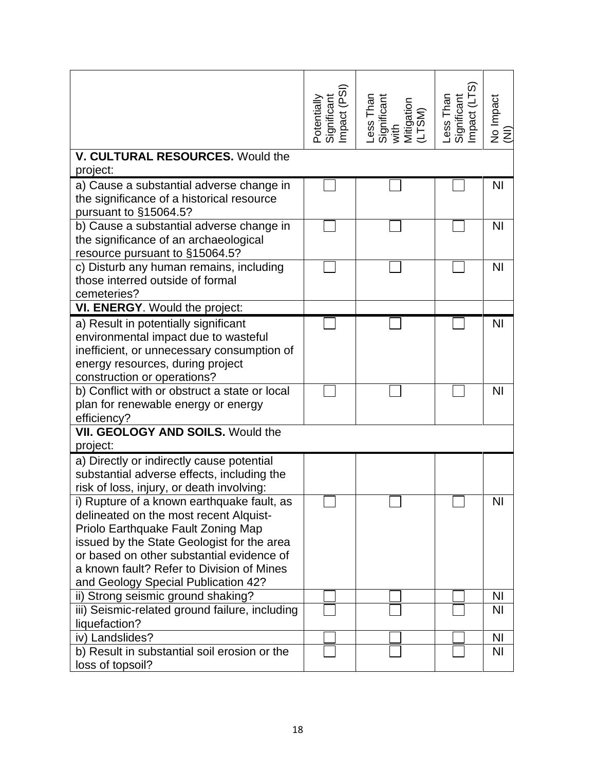|                                                                                                                                                                                                                                                                                                           | Potentially<br>Significant<br>Impact (PSI) | Less Than<br>Significant<br>with<br>Mitigation<br>(LTSM) | Less Than<br>Significant<br>Impact (LTS) | No Impact<br>(NI) |
|-----------------------------------------------------------------------------------------------------------------------------------------------------------------------------------------------------------------------------------------------------------------------------------------------------------|--------------------------------------------|----------------------------------------------------------|------------------------------------------|-------------------|
| V. CULTURAL RESOURCES. Would the                                                                                                                                                                                                                                                                          |                                            |                                                          |                                          |                   |
| project:                                                                                                                                                                                                                                                                                                  |                                            |                                                          |                                          |                   |
| a) Cause a substantial adverse change in<br>the significance of a historical resource<br>pursuant to §15064.5?                                                                                                                                                                                            |                                            |                                                          |                                          | <b>NI</b>         |
| b) Cause a substantial adverse change in<br>the significance of an archaeological<br>resource pursuant to §15064.5?                                                                                                                                                                                       |                                            |                                                          |                                          | <b>NI</b>         |
| c) Disturb any human remains, including<br>those interred outside of formal<br>cemeteries?                                                                                                                                                                                                                |                                            |                                                          |                                          | <b>NI</b>         |
| VI. ENERGY. Would the project:                                                                                                                                                                                                                                                                            |                                            |                                                          |                                          |                   |
| a) Result in potentially significant<br>environmental impact due to wasteful<br>inefficient, or unnecessary consumption of<br>energy resources, during project<br>construction or operations?                                                                                                             |                                            |                                                          |                                          | <b>NI</b>         |
| b) Conflict with or obstruct a state or local<br>plan for renewable energy or energy<br>efficiency?                                                                                                                                                                                                       |                                            |                                                          |                                          | <b>NI</b>         |
| VII. GEOLOGY AND SOILS. Would the                                                                                                                                                                                                                                                                         |                                            |                                                          |                                          |                   |
| project:                                                                                                                                                                                                                                                                                                  |                                            |                                                          |                                          |                   |
| a) Directly or indirectly cause potential<br>substantial adverse effects, including the<br>risk of loss, injury, or death involving:                                                                                                                                                                      |                                            |                                                          |                                          |                   |
| i) Rupture of a known earthquake fault, as<br>delineated on the most recent Alquist-<br>Priolo Earthquake Fault Zoning Map<br>issued by the State Geologist for the area<br>or based on other substantial evidence of<br>a known fault? Refer to Division of Mines<br>and Geology Special Publication 42? |                                            |                                                          |                                          | NI                |
| ii) Strong seismic ground shaking?                                                                                                                                                                                                                                                                        |                                            |                                                          |                                          | <b>NI</b>         |
| iii) Seismic-related ground failure, including<br>liquefaction?                                                                                                                                                                                                                                           |                                            |                                                          |                                          | N <sub>1</sub>    |
| iv) Landslides?                                                                                                                                                                                                                                                                                           |                                            |                                                          |                                          | <b>NI</b>         |
| b) Result in substantial soil erosion or the<br>loss of topsoil?                                                                                                                                                                                                                                          |                                            |                                                          |                                          | N <sub>1</sub>    |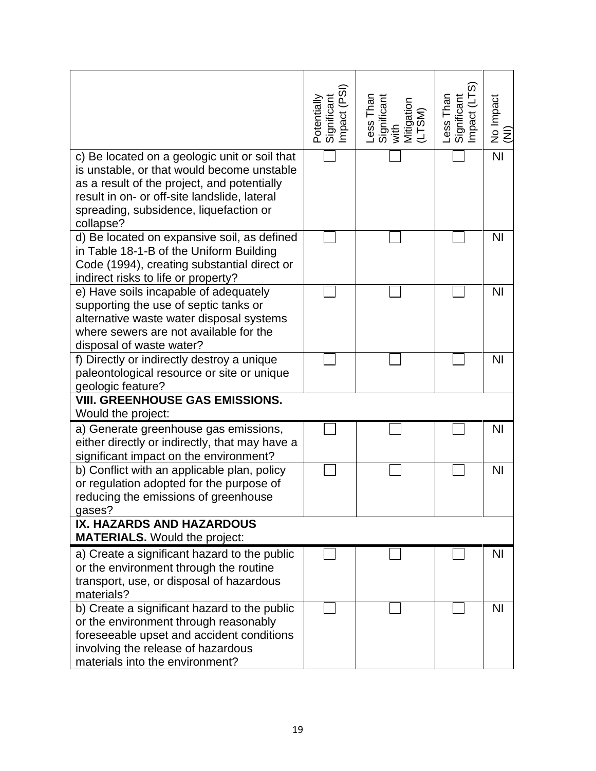|                                                                                                                                                                                                                                                   | Potentially<br>Significant<br>Impact (PSI) | Less Than<br>Significant<br>with<br>Mitigation<br>(LTSM) | Less Than<br>Significant<br>Impact (LTS) | No Impact<br>(NI) |
|---------------------------------------------------------------------------------------------------------------------------------------------------------------------------------------------------------------------------------------------------|--------------------------------------------|----------------------------------------------------------|------------------------------------------|-------------------|
| c) Be located on a geologic unit or soil that<br>is unstable, or that would become unstable<br>as a result of the project, and potentially<br>result in on- or off-site landslide, lateral<br>spreading, subsidence, liquefaction or<br>collapse? |                                            |                                                          |                                          | $\overline{N}$    |
| d) Be located on expansive soil, as defined<br>in Table 18-1-B of the Uniform Building<br>Code (1994), creating substantial direct or<br>indirect risks to life or property?                                                                      |                                            |                                                          |                                          | <b>NI</b>         |
| e) Have soils incapable of adequately<br>supporting the use of septic tanks or<br>alternative waste water disposal systems<br>where sewers are not available for the<br>disposal of waste water?                                                  |                                            |                                                          |                                          | N <sub>l</sub>    |
| f) Directly or indirectly destroy a unique<br>paleontological resource or site or unique<br>geologic feature?<br><b>VIII. GREENHOUSE GAS EMISSIONS.</b>                                                                                           |                                            |                                                          |                                          | <b>NI</b>         |
| Would the project:                                                                                                                                                                                                                                |                                            |                                                          |                                          |                   |
| a) Generate greenhouse gas emissions,<br>either directly or indirectly, that may have a<br>significant impact on the environment?                                                                                                                 |                                            |                                                          |                                          | <b>NI</b>         |
| b) Conflict with an applicable plan, policy<br>or regulation adopted for the purpose of<br>reducing the emissions of greenhouse<br>gases?                                                                                                         |                                            |                                                          |                                          | <b>NI</b>         |
| IX. HAZARDS AND HAZARDOUS<br><b>MATERIALS.</b> Would the project:                                                                                                                                                                                 |                                            |                                                          |                                          |                   |
| a) Create a significant hazard to the public<br>or the environment through the routine<br>transport, use, or disposal of hazardous<br>materials?                                                                                                  |                                            |                                                          |                                          | N <sub>l</sub>    |
| b) Create a significant hazard to the public<br>or the environment through reasonably<br>foreseeable upset and accident conditions<br>involving the release of hazardous<br>materials into the environment?                                       |                                            |                                                          |                                          | N <sub>1</sub>    |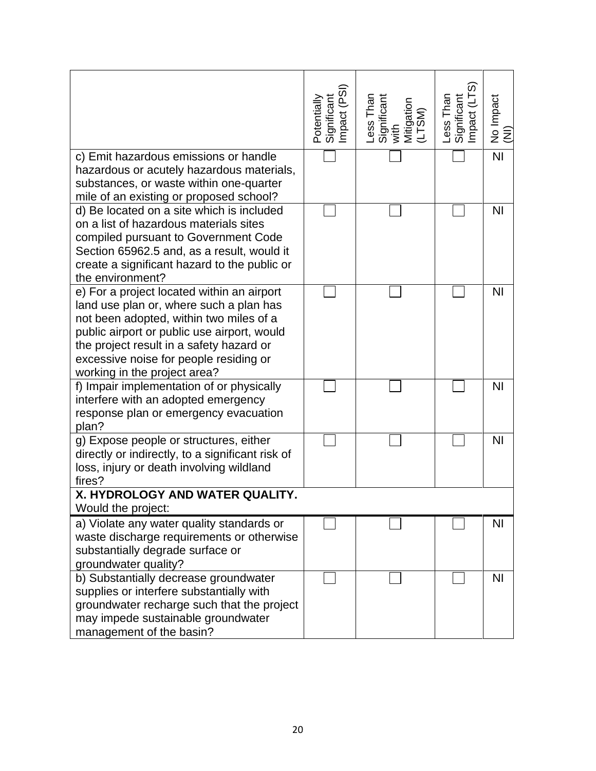|                                                                                                                                                                                                                                                                                                       | Potentially<br>Significant<br>Impact (PSI) | Less Than<br>Significant<br>with<br>Mitigation<br>(LTSM) | Less Than<br>Significant<br>Impact (LTS) | No Impact<br>(NI) |
|-------------------------------------------------------------------------------------------------------------------------------------------------------------------------------------------------------------------------------------------------------------------------------------------------------|--------------------------------------------|----------------------------------------------------------|------------------------------------------|-------------------|
| c) Emit hazardous emissions or handle<br>hazardous or acutely hazardous materials,<br>substances, or waste within one-quarter                                                                                                                                                                         |                                            |                                                          |                                          | $\overline{N}$    |
| mile of an existing or proposed school?<br>d) Be located on a site which is included                                                                                                                                                                                                                  |                                            |                                                          |                                          | N <sub>l</sub>    |
| on a list of hazardous materials sites<br>compiled pursuant to Government Code<br>Section 65962.5 and, as a result, would it<br>create a significant hazard to the public or<br>the environment?                                                                                                      |                                            |                                                          |                                          |                   |
| e) For a project located within an airport<br>land use plan or, where such a plan has<br>not been adopted, within two miles of a<br>public airport or public use airport, would<br>the project result in a safety hazard or<br>excessive noise for people residing or<br>working in the project area? |                                            |                                                          |                                          | <b>NI</b>         |
| f) Impair implementation of or physically<br>interfere with an adopted emergency<br>response plan or emergency evacuation<br>plan?                                                                                                                                                                    |                                            |                                                          |                                          | N <sub>l</sub>    |
| g) Expose people or structures, either<br>directly or indirectly, to a significant risk of<br>loss, injury or death involving wildland<br>fires?                                                                                                                                                      |                                            |                                                          |                                          | N <sub>l</sub>    |
| X. HYDROLOGY AND WATER QUALITY.<br>Would the project:                                                                                                                                                                                                                                                 |                                            |                                                          |                                          |                   |
| a) Violate any water quality standards or<br>waste discharge requirements or otherwise<br>substantially degrade surface or<br>groundwater quality?                                                                                                                                                    |                                            |                                                          |                                          | <b>NI</b>         |
| b) Substantially decrease groundwater<br>supplies or interfere substantially with<br>groundwater recharge such that the project<br>may impede sustainable groundwater<br>management of the basin?                                                                                                     |                                            |                                                          |                                          | N <sub>l</sub>    |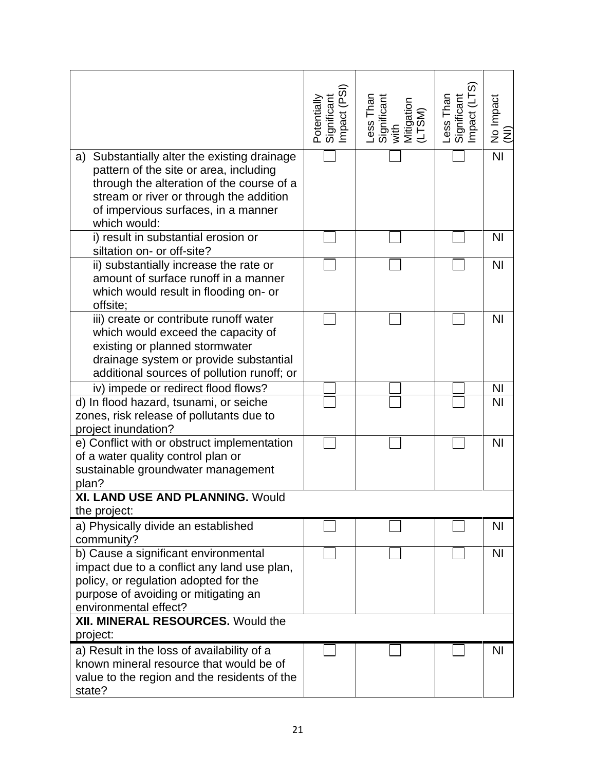|                                                                                                                                                                                                                                          | Potentially<br>Significant<br>Impact (PSI) | Less Than<br>Significant<br>with<br>Mitigation<br>Mitigation | Less Than<br>Significant<br>Impact (LTS) | No Impact<br>(NI) |
|------------------------------------------------------------------------------------------------------------------------------------------------------------------------------------------------------------------------------------------|--------------------------------------------|--------------------------------------------------------------|------------------------------------------|-------------------|
| Substantially alter the existing drainage<br>a)<br>pattern of the site or area, including<br>through the alteration of the course of a<br>stream or river or through the addition<br>of impervious surfaces, in a manner<br>which would: |                                            |                                                              |                                          | $\overline{N}$    |
| i) result in substantial erosion or<br>siltation on- or off-site?                                                                                                                                                                        |                                            |                                                              |                                          | N <sub>1</sub>    |
| ii) substantially increase the rate or<br>amount of surface runoff in a manner<br>which would result in flooding on- or<br>offsite;                                                                                                      |                                            |                                                              |                                          | N <sub>l</sub>    |
| iii) create or contribute runoff water<br>which would exceed the capacity of<br>existing or planned stormwater<br>drainage system or provide substantial<br>additional sources of pollution runoff; or                                   |                                            |                                                              |                                          | N <sub>l</sub>    |
| iv) impede or redirect flood flows?                                                                                                                                                                                                      |                                            |                                                              |                                          | <b>NI</b>         |
| d) In flood hazard, tsunami, or seiche<br>zones, risk release of pollutants due to<br>project inundation?                                                                                                                                |                                            |                                                              |                                          | ΝI                |
| e) Conflict with or obstruct implementation<br>of a water quality control plan or<br>sustainable groundwater management<br>plan?                                                                                                         |                                            |                                                              |                                          | N <sub>l</sub>    |
| XI. LAND USE AND PLANNING. Would<br>the project:                                                                                                                                                                                         |                                            |                                                              |                                          |                   |
| a) Physically divide an established<br>community?                                                                                                                                                                                        |                                            |                                                              |                                          | ΝI                |
| b) Cause a significant environmental<br>impact due to a conflict any land use plan,<br>policy, or regulation adopted for the<br>purpose of avoiding or mitigating an<br>environmental effect?                                            |                                            |                                                              |                                          | <b>NI</b>         |
| XII. MINERAL RESOURCES. Would the<br>project:                                                                                                                                                                                            |                                            |                                                              |                                          |                   |
| a) Result in the loss of availability of a<br>known mineral resource that would be of<br>value to the region and the residents of the<br>state?                                                                                          |                                            |                                                              |                                          | NI                |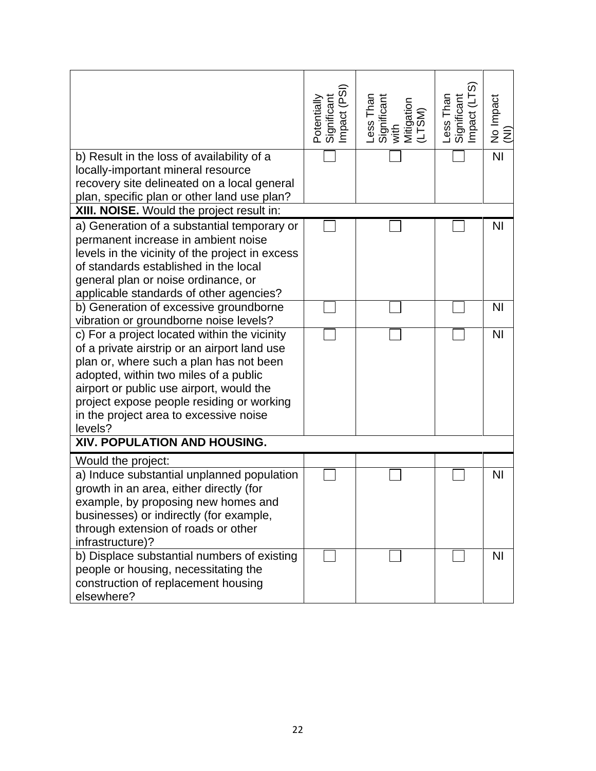| b) Result in the loss of availability of a<br>locally-important mineral resource                                                                                                                                                                                                                                               | Potentially<br>Significant<br>Impact (PSI) | Less Than<br>Significant<br>with<br>Mitigation<br>Mitigation | Less Than<br>Significant<br>Impact (LTS) | No Impact<br>(NI)<br>$\overline{N}$ |
|--------------------------------------------------------------------------------------------------------------------------------------------------------------------------------------------------------------------------------------------------------------------------------------------------------------------------------|--------------------------------------------|--------------------------------------------------------------|------------------------------------------|-------------------------------------|
| recovery site delineated on a local general<br>plan, specific plan or other land use plan?                                                                                                                                                                                                                                     |                                            |                                                              |                                          |                                     |
| XIII. NOISE. Would the project result in:                                                                                                                                                                                                                                                                                      |                                            |                                                              |                                          |                                     |
| a) Generation of a substantial temporary or<br>permanent increase in ambient noise<br>levels in the vicinity of the project in excess<br>of standards established in the local<br>general plan or noise ordinance, or<br>applicable standards of other agencies?                                                               |                                            |                                                              |                                          | N <sub>l</sub>                      |
| b) Generation of excessive groundborne<br>vibration or groundborne noise levels?                                                                                                                                                                                                                                               |                                            |                                                              |                                          | <b>NI</b>                           |
| c) For a project located within the vicinity<br>of a private airstrip or an airport land use<br>plan or, where such a plan has not been<br>adopted, within two miles of a public<br>airport or public use airport, would the<br>project expose people residing or working<br>in the project area to excessive noise<br>levels? |                                            |                                                              |                                          | N <sub>l</sub>                      |
| XIV. POPULATION AND HOUSING.                                                                                                                                                                                                                                                                                                   |                                            |                                                              |                                          |                                     |
| Would the project:<br>a) Induce substantial unplanned population<br>growth in an area, either directly (for<br>example, by proposing new homes and<br>businesses) or indirectly (for example,<br>through extension of roads or other<br>infrastructure)?                                                                       |                                            |                                                              |                                          | <b>NI</b>                           |
| b) Displace substantial numbers of existing<br>people or housing, necessitating the<br>construction of replacement housing<br>elsewhere?                                                                                                                                                                                       |                                            |                                                              |                                          | N <sub>1</sub>                      |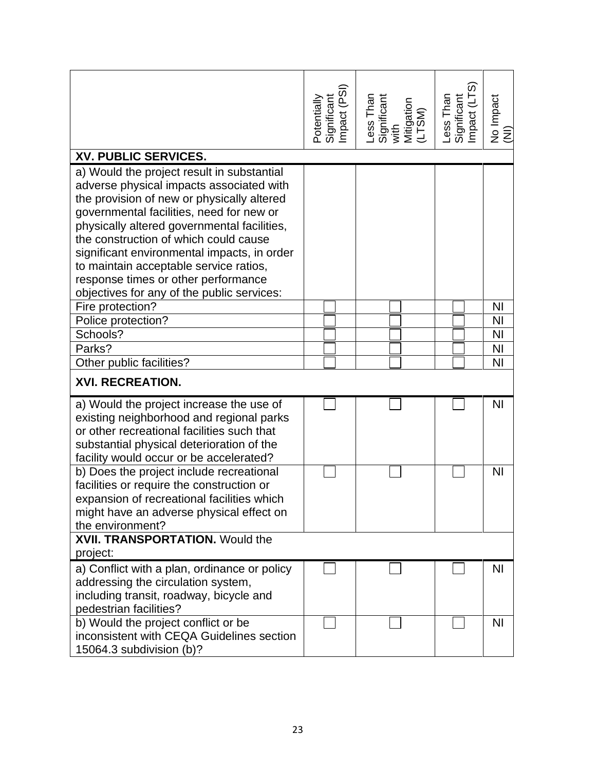|                                                                                                                                                                                                                                                                                                                                                                                                                                                        | Significant<br>Impact (PSI)<br>Potentially | Less Than<br>Significant<br>with<br>Mitigation<br>Mitigation | Less Than<br>Significant<br>Impact (LTS) | No Impact<br>(NI) |
|--------------------------------------------------------------------------------------------------------------------------------------------------------------------------------------------------------------------------------------------------------------------------------------------------------------------------------------------------------------------------------------------------------------------------------------------------------|--------------------------------------------|--------------------------------------------------------------|------------------------------------------|-------------------|
| XV. PUBLIC SERVICES.                                                                                                                                                                                                                                                                                                                                                                                                                                   |                                            |                                                              |                                          |                   |
| a) Would the project result in substantial<br>adverse physical impacts associated with<br>the provision of new or physically altered<br>governmental facilities, need for new or<br>physically altered governmental facilities,<br>the construction of which could cause<br>significant environmental impacts, in order<br>to maintain acceptable service ratios,<br>response times or other performance<br>objectives for any of the public services: |                                            |                                                              |                                          |                   |
| Fire protection?                                                                                                                                                                                                                                                                                                                                                                                                                                       |                                            |                                                              |                                          | NI                |
| Police protection?                                                                                                                                                                                                                                                                                                                                                                                                                                     |                                            |                                                              |                                          | <b>NI</b>         |
| Schools?                                                                                                                                                                                                                                                                                                                                                                                                                                               |                                            |                                                              |                                          | <b>NI</b>         |
| Parks?                                                                                                                                                                                                                                                                                                                                                                                                                                                 |                                            |                                                              |                                          | <b>NI</b>         |
| Other public facilities?                                                                                                                                                                                                                                                                                                                                                                                                                               |                                            |                                                              |                                          | NI                |
| <b>XVI. RECREATION.</b>                                                                                                                                                                                                                                                                                                                                                                                                                                |                                            |                                                              |                                          |                   |
| a) Would the project increase the use of<br>existing neighborhood and regional parks<br>or other recreational facilities such that<br>substantial physical deterioration of the<br>facility would occur or be accelerated?                                                                                                                                                                                                                             |                                            |                                                              |                                          | <b>NI</b>         |
| b) Does the project include recreational<br>facilities or require the construction or<br>expansion of recreational facilities which<br>might have an adverse physical effect on<br>the environment?                                                                                                                                                                                                                                                    |                                            |                                                              |                                          | N <sub>1</sub>    |
| <b>XVII. TRANSPORTATION. Would the</b><br>project:                                                                                                                                                                                                                                                                                                                                                                                                     |                                            |                                                              |                                          |                   |
| a) Conflict with a plan, ordinance or policy<br>addressing the circulation system,<br>including transit, roadway, bicycle and<br>pedestrian facilities?                                                                                                                                                                                                                                                                                                |                                            |                                                              |                                          | N <sub>1</sub>    |
| b) Would the project conflict or be<br>inconsistent with CEQA Guidelines section<br>15064.3 subdivision (b)?                                                                                                                                                                                                                                                                                                                                           |                                            |                                                              |                                          | ΝI                |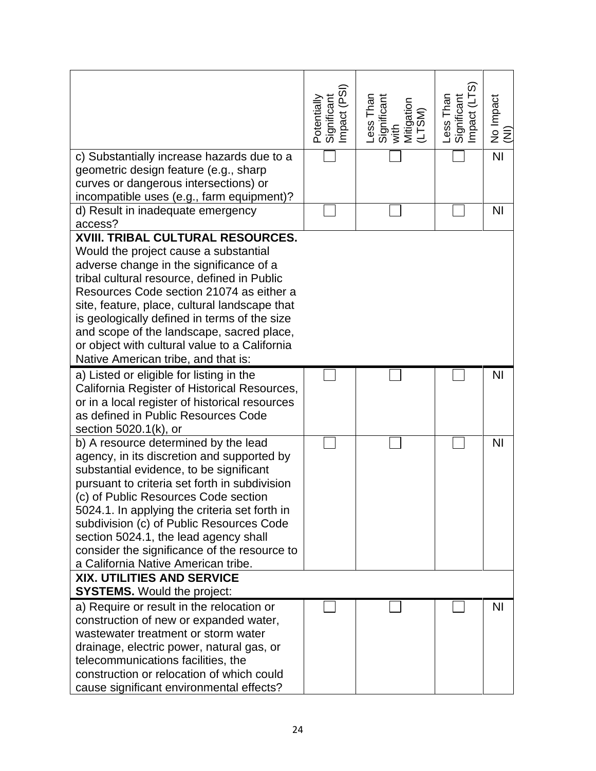|                                                                                       | Potentially<br>Significant<br>Impact (PSI) | Less Than<br>Significant<br>with<br>Mitigation<br>(LTSM) | Less Than<br>Significant<br>Impact (LTS) | No Impact<br>(NI) |
|---------------------------------------------------------------------------------------|--------------------------------------------|----------------------------------------------------------|------------------------------------------|-------------------|
| c) Substantially increase hazards due to a                                            |                                            |                                                          |                                          | $\overline{N}$    |
| geometric design feature (e.g., sharp                                                 |                                            |                                                          |                                          |                   |
| curves or dangerous intersections) or                                                 |                                            |                                                          |                                          |                   |
| incompatible uses (e.g., farm equipment)?                                             |                                            |                                                          |                                          |                   |
| d) Result in inadequate emergency                                                     |                                            |                                                          |                                          | N <sub>l</sub>    |
| access?                                                                               |                                            |                                                          |                                          |                   |
| XVIII. TRIBAL CULTURAL RESOURCES.                                                     |                                            |                                                          |                                          |                   |
| Would the project cause a substantial                                                 |                                            |                                                          |                                          |                   |
| adverse change in the significance of a                                               |                                            |                                                          |                                          |                   |
| tribal cultural resource, defined in Public                                           |                                            |                                                          |                                          |                   |
| Resources Code section 21074 as either a                                              |                                            |                                                          |                                          |                   |
| site, feature, place, cultural landscape that                                         |                                            |                                                          |                                          |                   |
| is geologically defined in terms of the size                                          |                                            |                                                          |                                          |                   |
| and scope of the landscape, sacred place,                                             |                                            |                                                          |                                          |                   |
| or object with cultural value to a California                                         |                                            |                                                          |                                          |                   |
| Native American tribe, and that is:                                                   |                                            |                                                          |                                          |                   |
| a) Listed or eligible for listing in the                                              |                                            |                                                          |                                          | <b>NI</b>         |
| California Register of Historical Resources,                                          |                                            |                                                          |                                          |                   |
| or in a local register of historical resources                                        |                                            |                                                          |                                          |                   |
| as defined in Public Resources Code                                                   |                                            |                                                          |                                          |                   |
| section 5020.1(k), or                                                                 |                                            |                                                          |                                          |                   |
| b) A resource determined by the lead                                                  |                                            |                                                          |                                          | N <sub>l</sub>    |
| agency, in its discretion and supported by                                            |                                            |                                                          |                                          |                   |
| substantial evidence, to be significant                                               |                                            |                                                          |                                          |                   |
| pursuant to criteria set forth in subdivision<br>(c) of Public Resources Code section |                                            |                                                          |                                          |                   |
| 5024.1. In applying the criteria set forth in                                         |                                            |                                                          |                                          |                   |
| subdivision (c) of Public Resources Code                                              |                                            |                                                          |                                          |                   |
| section 5024.1, the lead agency shall                                                 |                                            |                                                          |                                          |                   |
| consider the significance of the resource to                                          |                                            |                                                          |                                          |                   |
| a California Native American tribe.                                                   |                                            |                                                          |                                          |                   |
| <b>XIX. UTILITIES AND SERVICE</b>                                                     |                                            |                                                          |                                          |                   |
| <b>SYSTEMS.</b> Would the project:                                                    |                                            |                                                          |                                          |                   |
| a) Require or result in the relocation or                                             |                                            |                                                          |                                          | <b>NI</b>         |
| construction of new or expanded water,                                                |                                            |                                                          |                                          |                   |
| wastewater treatment or storm water                                                   |                                            |                                                          |                                          |                   |
| drainage, electric power, natural gas, or                                             |                                            |                                                          |                                          |                   |
| telecommunications facilities, the                                                    |                                            |                                                          |                                          |                   |
| construction or relocation of which could                                             |                                            |                                                          |                                          |                   |
| cause significant environmental effects?                                              |                                            |                                                          |                                          |                   |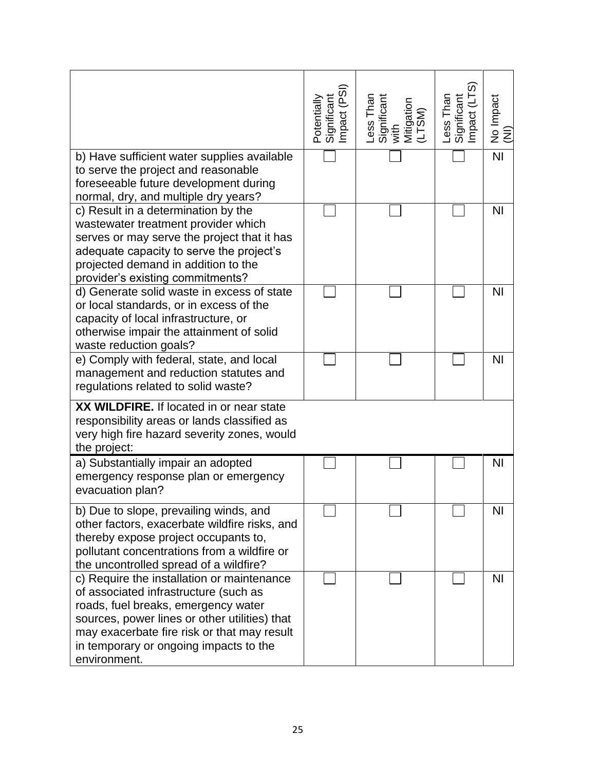|                                                                                                                                                                                                                                                                                      | Significant<br>Impact (PSI)<br>Potentially | Less Than<br>Significant<br>with<br>Mitigation<br>(LTSM) | Less Than<br>Significant<br>Impact (LTS) | No Impact<br>(NI) |
|--------------------------------------------------------------------------------------------------------------------------------------------------------------------------------------------------------------------------------------------------------------------------------------|--------------------------------------------|----------------------------------------------------------|------------------------------------------|-------------------|
| b) Have sufficient water supplies available<br>to serve the project and reasonable<br>foreseeable future development during<br>normal, dry, and multiple dry years?                                                                                                                  |                                            |                                                          |                                          | $\overline{N}$    |
| c) Result in a determination by the<br>wastewater treatment provider which<br>serves or may serve the project that it has<br>adequate capacity to serve the project's<br>projected demand in addition to the<br>provider's existing commitments?                                     |                                            |                                                          |                                          | N <sub>l</sub>    |
| d) Generate solid waste in excess of state<br>or local standards, or in excess of the<br>capacity of local infrastructure, or<br>otherwise impair the attainment of solid<br>waste reduction goals?                                                                                  |                                            |                                                          |                                          | <b>NI</b>         |
| e) Comply with federal, state, and local<br>management and reduction statutes and<br>regulations related to solid waste?                                                                                                                                                             |                                            |                                                          |                                          | N <sub>l</sub>    |
| XX WILDFIRE. If located in or near state<br>responsibility areas or lands classified as<br>very high fire hazard severity zones, would<br>the project:                                                                                                                               |                                            |                                                          |                                          |                   |
| a) Substantially impair an adopted<br>emergency response plan or emergency<br>evacuation plan?                                                                                                                                                                                       |                                            |                                                          |                                          | <b>NI</b>         |
| b) Due to slope, prevailing winds, and<br>other factors, exacerbate wildfire risks, and<br>thereby expose project occupants to,<br>pollutant concentrations from a wildfire or<br>the uncontrolled spread of a wildfire?                                                             |                                            |                                                          |                                          | NI                |
| c) Require the installation or maintenance<br>of associated infrastructure (such as<br>roads, fuel breaks, emergency water<br>sources, power lines or other utilities) that<br>may exacerbate fire risk or that may result<br>in temporary or ongoing impacts to the<br>environment. |                                            |                                                          |                                          | N <sub>l</sub>    |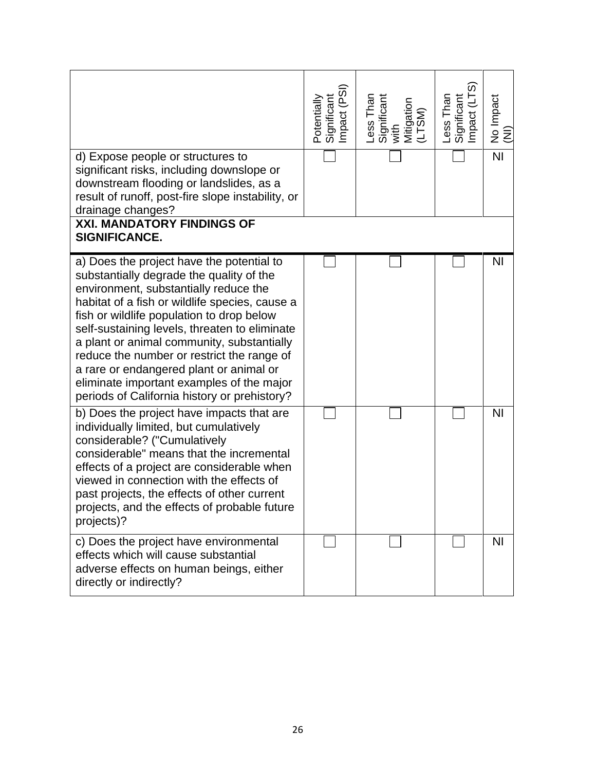|                                                                                                                                                                                                                                                                                                                                                                                                                                                                                                                    | Potentially<br>Significant<br>Impact (PSI) | Less Than<br>Significant<br>with<br>Mitigation<br>(LTSM) | Less Than<br>Significant<br>Impact (LTS) | No Impact<br>(NI) |
|--------------------------------------------------------------------------------------------------------------------------------------------------------------------------------------------------------------------------------------------------------------------------------------------------------------------------------------------------------------------------------------------------------------------------------------------------------------------------------------------------------------------|--------------------------------------------|----------------------------------------------------------|------------------------------------------|-------------------|
| d) Expose people or structures to<br>significant risks, including downslope or<br>downstream flooding or landslides, as a<br>result of runoff, post-fire slope instability, or<br>drainage changes?                                                                                                                                                                                                                                                                                                                |                                            |                                                          |                                          | $\overline{N}$    |
| <b>XXI. MANDATORY FINDINGS OF</b><br>SIGNIFICANCE.                                                                                                                                                                                                                                                                                                                                                                                                                                                                 |                                            |                                                          |                                          |                   |
| a) Does the project have the potential to<br>substantially degrade the quality of the<br>environment, substantially reduce the<br>habitat of a fish or wildlife species, cause a<br>fish or wildlife population to drop below<br>self-sustaining levels, threaten to eliminate<br>a plant or animal community, substantially<br>reduce the number or restrict the range of<br>a rare or endangered plant or animal or<br>eliminate important examples of the major<br>periods of California history or prehistory? |                                            |                                                          |                                          | <b>NI</b>         |
| b) Does the project have impacts that are<br>individually limited, but cumulatively<br>considerable? ("Cumulatively<br>considerable" means that the incremental<br>effects of a project are considerable when<br>viewed in connection with the effects of<br>past projects, the effects of other current<br>projects, and the effects of probable future<br>projects)?                                                                                                                                             |                                            |                                                          |                                          | N <sub>l</sub>    |
| c) Does the project have environmental<br>effects which will cause substantial<br>adverse effects on human beings, either<br>directly or indirectly?                                                                                                                                                                                                                                                                                                                                                               |                                            |                                                          |                                          | N <sub>1</sub>    |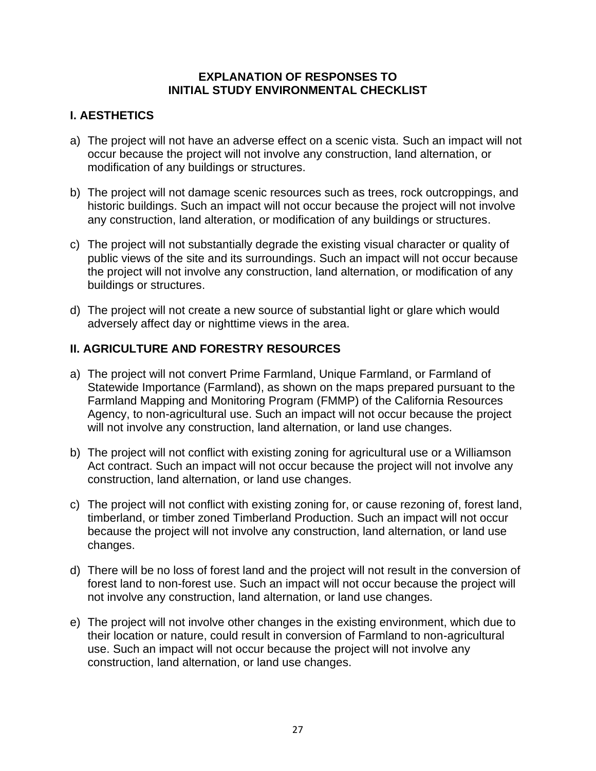### **EXPLANATION OF RESPONSES TO INITIAL STUDY ENVIRONMENTAL CHECKLIST**

# **I. AESTHETICS**

- a) The project will not have an adverse effect on a scenic vista. Such an impact will not occur because the project will not involve any construction, land alternation, or modification of any buildings or structures.
- b) The project will not damage scenic resources such as trees, rock outcroppings, and historic buildings. Such an impact will not occur because the project will not involve any construction, land alteration, or modification of any buildings or structures.
- c) The project will not substantially degrade the existing visual character or quality of public views of the site and its surroundings. Such an impact will not occur because the project will not involve any construction, land alternation, or modification of any buildings or structures.
- d) The project will not create a new source of substantial light or glare which would adversely affect day or nighttime views in the area.

# **II. AGRICULTURE AND FORESTRY RESOURCES**

- a) The project will not convert Prime Farmland, Unique Farmland, or Farmland of Statewide Importance (Farmland), as shown on the maps prepared pursuant to the Farmland Mapping and Monitoring Program (FMMP) of the California Resources Agency, to non-agricultural use. Such an impact will not occur because the project will not involve any construction, land alternation, or land use changes.
- b) The project will not conflict with existing zoning for agricultural use or a Williamson Act contract. Such an impact will not occur because the project will not involve any construction, land alternation, or land use changes.
- c) The project will not conflict with existing zoning for, or cause rezoning of, forest land, timberland, or timber zoned Timberland Production. Such an impact will not occur because the project will not involve any construction, land alternation, or land use changes.
- d) There will be no loss of forest land and the project will not result in the conversion of forest land to non-forest use. Such an impact will not occur because the project will not involve any construction, land alternation, or land use changes.
- e) The project will not involve other changes in the existing environment, which due to their location or nature, could result in conversion of Farmland to non-agricultural use. Such an impact will not occur because the project will not involve any construction, land alternation, or land use changes.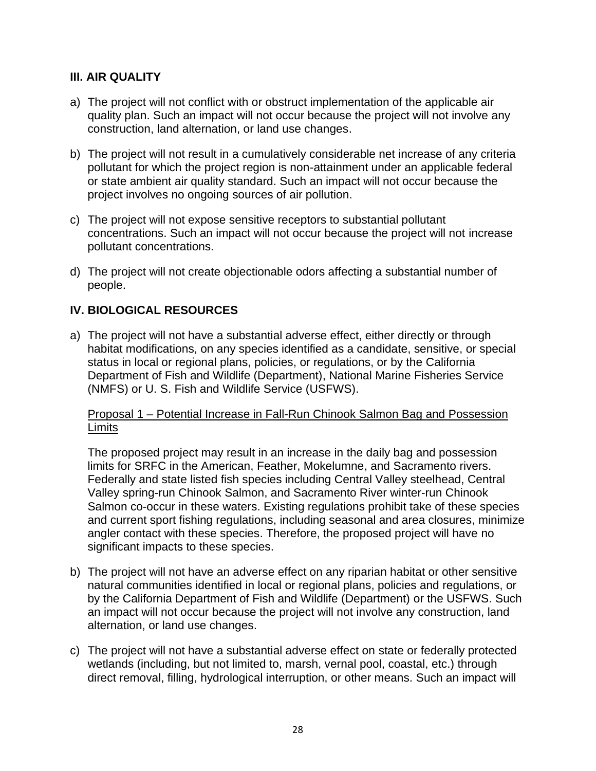## **III. AIR QUALITY**

- a) The project will not conflict with or obstruct implementation of the applicable air quality plan. Such an impact will not occur because the project will not involve any construction, land alternation, or land use changes.
- b) The project will not result in a cumulatively considerable net increase of any criteria pollutant for which the project region is non-attainment under an applicable federal or state ambient air quality standard. Such an impact will not occur because the project involves no ongoing sources of air pollution.
- c) The project will not expose sensitive receptors to substantial pollutant concentrations. Such an impact will not occur because the project will not increase pollutant concentrations.
- d) The project will not create objectionable odors affecting a substantial number of people.

## **IV. BIOLOGICAL RESOURCES**

a) The project will not have a substantial adverse effect, either directly or through habitat modifications, on any species identified as a candidate, sensitive, or special status in local or regional plans, policies, or regulations, or by the California Department of Fish and Wildlife (Department), National Marine Fisheries Service (NMFS) or U. S. Fish and Wildlife Service (USFWS).

#### Proposal 1 – Potential Increase in Fall-Run Chinook Salmon Bag and Possession **Limits**

The proposed project may result in an increase in the daily bag and possession limits for SRFC in the American, Feather, Mokelumne, and Sacramento rivers. Federally and state listed fish species including Central Valley steelhead, Central Valley spring-run Chinook Salmon, and Sacramento River winter-run Chinook Salmon co-occur in these waters. Existing regulations prohibit take of these species and current sport fishing regulations, including seasonal and area closures, minimize angler contact with these species. Therefore, the proposed project will have no significant impacts to these species.

- b) The project will not have an adverse effect on any riparian habitat or other sensitive natural communities identified in local or regional plans, policies and regulations, or by the California Department of Fish and Wildlife (Department) or the USFWS. Such an impact will not occur because the project will not involve any construction, land alternation, or land use changes.
- c) The project will not have a substantial adverse effect on state or federally protected wetlands (including, but not limited to, marsh, vernal pool, coastal, etc.) through direct removal, filling, hydrological interruption, or other means. Such an impact will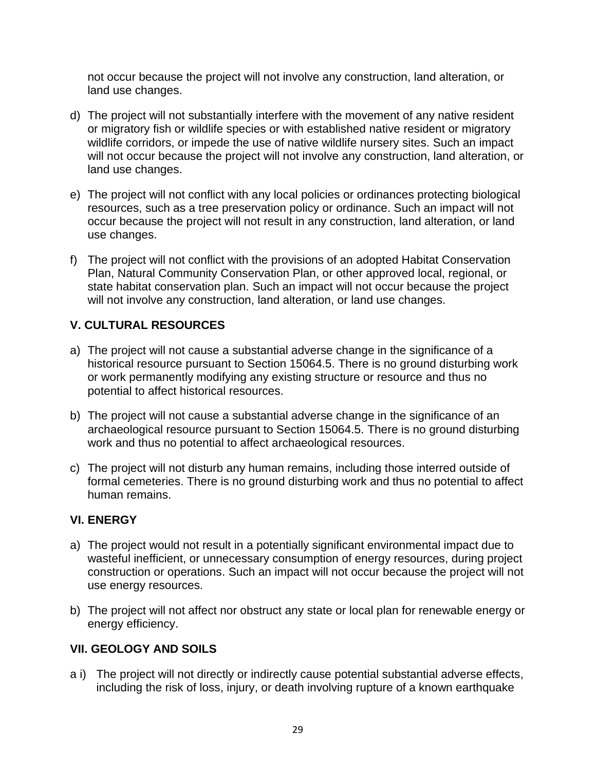not occur because the project will not involve any construction, land alteration, or land use changes.

- d) The project will not substantially interfere with the movement of any native resident or migratory fish or wildlife species or with established native resident or migratory wildlife corridors, or impede the use of native wildlife nursery sites. Such an impact will not occur because the project will not involve any construction, land alteration, or land use changes.
- e) The project will not conflict with any local policies or ordinances protecting biological resources, such as a tree preservation policy or ordinance. Such an impact will not occur because the project will not result in any construction, land alteration, or land use changes.
- f) The project will not conflict with the provisions of an adopted Habitat Conservation Plan, Natural Community Conservation Plan, or other approved local, regional, or state habitat conservation plan. Such an impact will not occur because the project will not involve any construction, land alteration, or land use changes.

# **V. CULTURAL RESOURCES**

- a) The project will not cause a substantial adverse change in the significance of a historical resource pursuant to Section 15064.5. There is no ground disturbing work or work permanently modifying any existing structure or resource and thus no potential to affect historical resources.
- b) The project will not cause a substantial adverse change in the significance of an archaeological resource pursuant to Section 15064.5. There is no ground disturbing work and thus no potential to affect archaeological resources.
- c) The project will not disturb any human remains, including those interred outside of formal cemeteries. There is no ground disturbing work and thus no potential to affect human remains.

## **VI. ENERGY**

- a) The project would not result in a potentially significant environmental impact due to wasteful inefficient, or unnecessary consumption of energy resources, during project construction or operations. Such an impact will not occur because the project will not use energy resources.
- b) The project will not affect nor obstruct any state or local plan for renewable energy or energy efficiency.

## **VII. GEOLOGY AND SOILS**

a i) The project will not directly or indirectly cause potential substantial adverse effects, including the risk of loss, injury, or death involving rupture of a known earthquake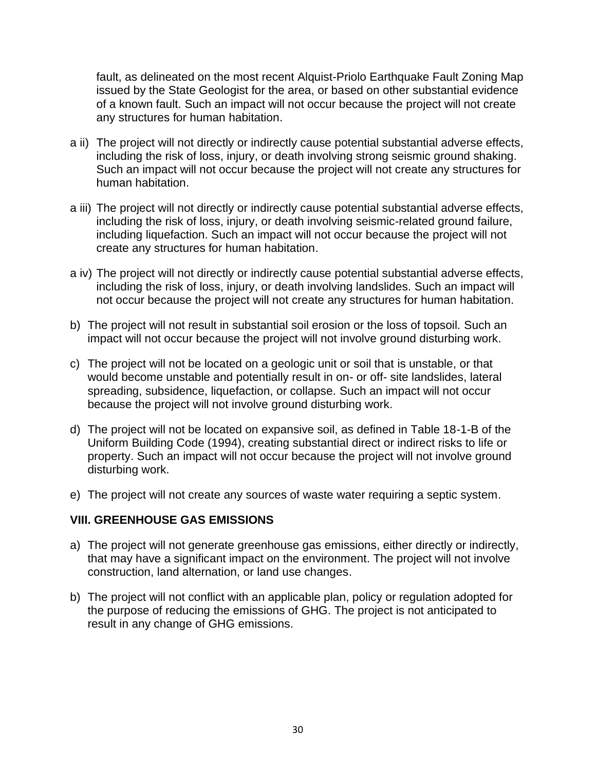fault, as delineated on the most recent Alquist-Priolo Earthquake Fault Zoning Map issued by the State Geologist for the area, or based on other substantial evidence of a known fault. Such an impact will not occur because the project will not create any structures for human habitation.

- a ii) The project will not directly or indirectly cause potential substantial adverse effects, including the risk of loss, injury, or death involving strong seismic ground shaking. Such an impact will not occur because the project will not create any structures for human habitation.
- a iii) The project will not directly or indirectly cause potential substantial adverse effects, including the risk of loss, injury, or death involving seismic-related ground failure, including liquefaction. Such an impact will not occur because the project will not create any structures for human habitation.
- a iv) The project will not directly or indirectly cause potential substantial adverse effects, including the risk of loss, injury, or death involving landslides. Such an impact will not occur because the project will not create any structures for human habitation.
- b) The project will not result in substantial soil erosion or the loss of topsoil. Such an impact will not occur because the project will not involve ground disturbing work.
- c) The project will not be located on a geologic unit or soil that is unstable, or that would become unstable and potentially result in on- or off- site landslides, lateral spreading, subsidence, liquefaction, or collapse. Such an impact will not occur because the project will not involve ground disturbing work.
- d) The project will not be located on expansive soil, as defined in Table 18-1-B of the Uniform Building Code (1994), creating substantial direct or indirect risks to life or property. Such an impact will not occur because the project will not involve ground disturbing work.
- e) The project will not create any sources of waste water requiring a septic system.

### **VIII. GREENHOUSE GAS EMISSIONS**

- a) The project will not generate greenhouse gas emissions, either directly or indirectly, that may have a significant impact on the environment. The project will not involve construction, land alternation, or land use changes.
- b) The project will not conflict with an applicable plan, policy or regulation adopted for the purpose of reducing the emissions of GHG. The project is not anticipated to result in any change of GHG emissions.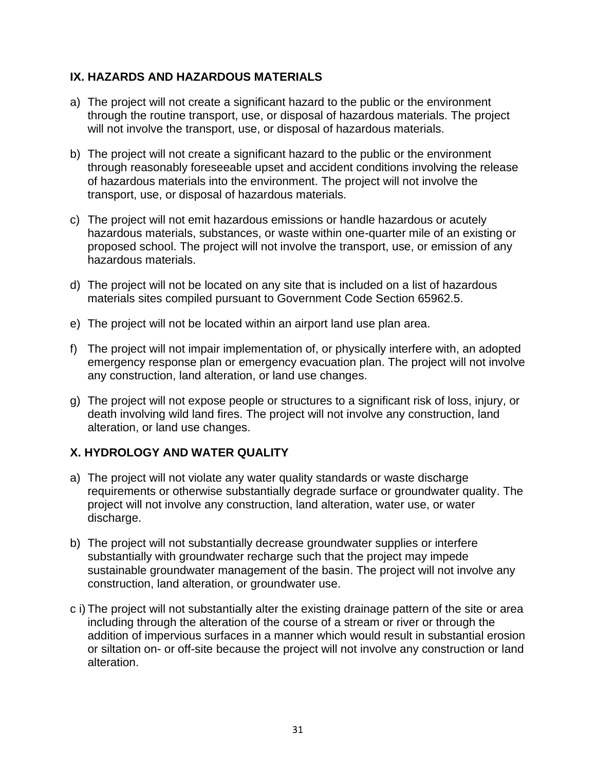## **IX. HAZARDS AND HAZARDOUS MATERIALS**

- a) The project will not create a significant hazard to the public or the environment through the routine transport, use, or disposal of hazardous materials. The project will not involve the transport, use, or disposal of hazardous materials.
- b) The project will not create a significant hazard to the public or the environment through reasonably foreseeable upset and accident conditions involving the release of hazardous materials into the environment. The project will not involve the transport, use, or disposal of hazardous materials.
- c) The project will not emit hazardous emissions or handle hazardous or acutely hazardous materials, substances, or waste within one-quarter mile of an existing or proposed school. The project will not involve the transport, use, or emission of any hazardous materials.
- d) The project will not be located on any site that is included on a list of hazardous materials sites compiled pursuant to Government Code Section 65962.5.
- e) The project will not be located within an airport land use plan area.
- f) The project will not impair implementation of, or physically interfere with, an adopted emergency response plan or emergency evacuation plan. The project will not involve any construction, land alteration, or land use changes.
- g) The project will not expose people or structures to a significant risk of loss, injury, or death involving wild land fires. The project will not involve any construction, land alteration, or land use changes.

# **X. HYDROLOGY AND WATER QUALITY**

- a) The project will not violate any water quality standards or waste discharge requirements or otherwise substantially degrade surface or groundwater quality. The project will not involve any construction, land alteration, water use, or water discharge.
- b) The project will not substantially decrease groundwater supplies or interfere substantially with groundwater recharge such that the project may impede sustainable groundwater management of the basin. The project will not involve any construction, land alteration, or groundwater use.
- c i) The project will not substantially alter the existing drainage pattern of the site or area including through the alteration of the course of a stream or river or through the addition of impervious surfaces in a manner which would result in substantial erosion or siltation on- or off-site because the project will not involve any construction or land alteration.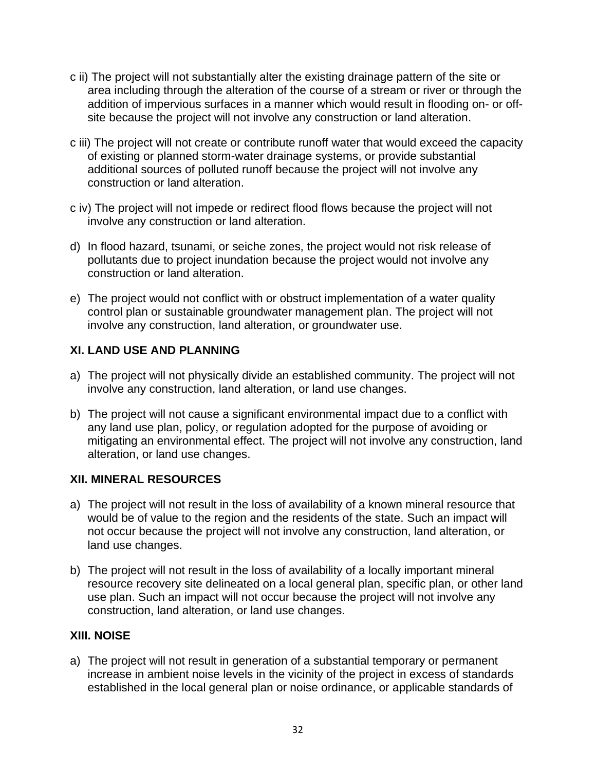- c ii) The project will not substantially alter the existing drainage pattern of the site or area including through the alteration of the course of a stream or river or through the addition of impervious surfaces in a manner which would result in flooding on- or offsite because the project will not involve any construction or land alteration.
- c iii) The project will not create or contribute runoff water that would exceed the capacity of existing or planned storm-water drainage systems, or provide substantial additional sources of polluted runoff because the project will not involve any construction or land alteration.
- c iv) The project will not impede or redirect flood flows because the project will not involve any construction or land alteration.
- d) In flood hazard, tsunami, or seiche zones, the project would not risk release of pollutants due to project inundation because the project would not involve any construction or land alteration.
- e) The project would not conflict with or obstruct implementation of a water quality control plan or sustainable groundwater management plan. The project will not involve any construction, land alteration, or groundwater use.

# **XI. LAND USE AND PLANNING**

- a) The project will not physically divide an established community. The project will not involve any construction, land alteration, or land use changes.
- b) The project will not cause a significant environmental impact due to a conflict with any land use plan, policy, or regulation adopted for the purpose of avoiding or mitigating an environmental effect. The project will not involve any construction, land alteration, or land use changes.

## **XII. MINERAL RESOURCES**

- a) The project will not result in the loss of availability of a known mineral resource that would be of value to the region and the residents of the state. Such an impact will not occur because the project will not involve any construction, land alteration, or land use changes.
- b) The project will not result in the loss of availability of a locally important mineral resource recovery site delineated on a local general plan, specific plan, or other land use plan. Such an impact will not occur because the project will not involve any construction, land alteration, or land use changes.

### **XIII. NOISE**

a) The project will not result in generation of a substantial temporary or permanent increase in ambient noise levels in the vicinity of the project in excess of standards established in the local general plan or noise ordinance, or applicable standards of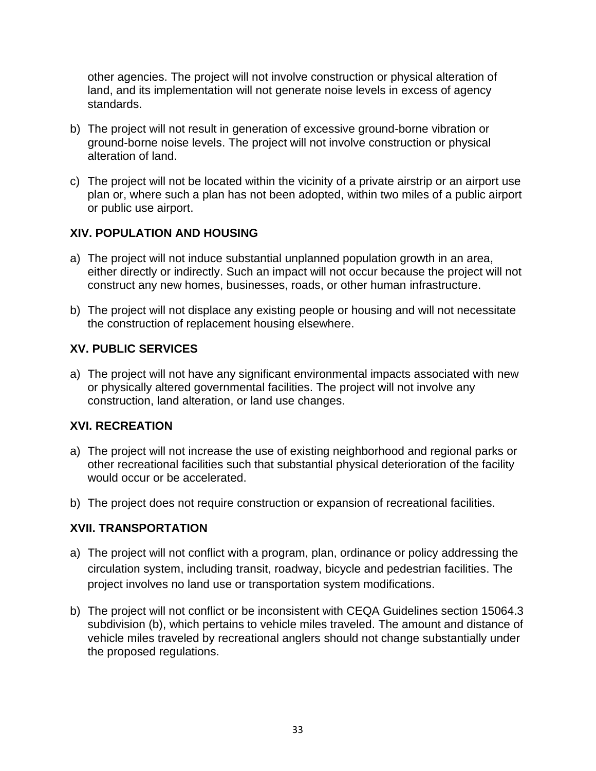other agencies. The project will not involve construction or physical alteration of land, and its implementation will not generate noise levels in excess of agency standards.

- b) The project will not result in generation of excessive ground-borne vibration or ground-borne noise levels. The project will not involve construction or physical alteration of land.
- c) The project will not be located within the vicinity of a private airstrip or an airport use plan or, where such a plan has not been adopted, within two miles of a public airport or public use airport.

## **XIV. POPULATION AND HOUSING**

- a) The project will not induce substantial unplanned population growth in an area, either directly or indirectly. Such an impact will not occur because the project will not construct any new homes, businesses, roads, or other human infrastructure.
- b) The project will not displace any existing people or housing and will not necessitate the construction of replacement housing elsewhere.

# **XV. PUBLIC SERVICES**

a) The project will not have any significant environmental impacts associated with new or physically altered governmental facilities. The project will not involve any construction, land alteration, or land use changes.

## **XVI. RECREATION**

- a) The project will not increase the use of existing neighborhood and regional parks or other recreational facilities such that substantial physical deterioration of the facility would occur or be accelerated.
- b) The project does not require construction or expansion of recreational facilities.

# **XVII. TRANSPORTATION**

- a) The project will not conflict with a program, plan, ordinance or policy addressing the circulation system, including transit, roadway, bicycle and pedestrian facilities. The project involves no land use or transportation system modifications.
- b) The project will not conflict or be inconsistent with CEQA Guidelines section 15064.3 subdivision (b), which pertains to vehicle miles traveled. The amount and distance of vehicle miles traveled by recreational anglers should not change substantially under the proposed regulations.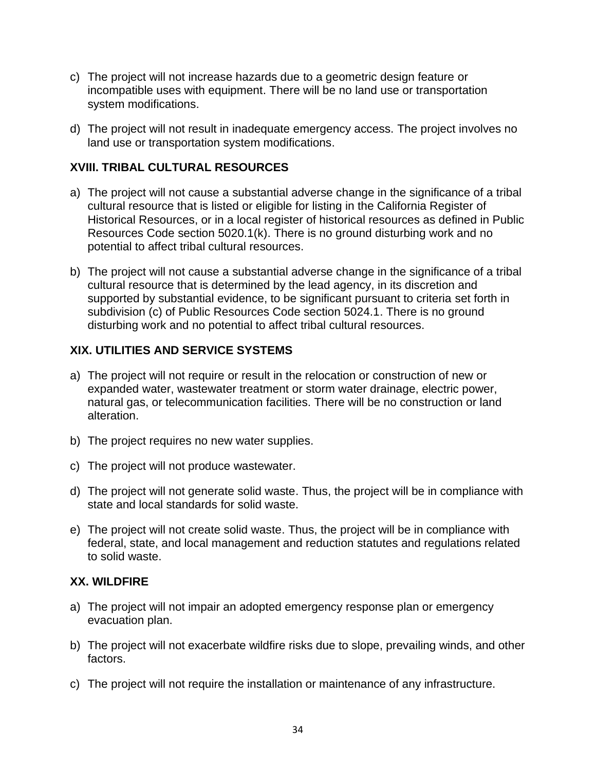- c) The project will not increase hazards due to a geometric design feature or incompatible uses with equipment. There will be no land use or transportation system modifications.
- d) The project will not result in inadequate emergency access. The project involves no land use or transportation system modifications.

## **XVIII. TRIBAL CULTURAL RESOURCES**

- a) The project will not cause a substantial adverse change in the significance of a tribal cultural resource that is listed or eligible for listing in the California Register of Historical Resources, or in a local register of historical resources as defined in Public Resources Code section 5020.1(k). There is no ground disturbing work and no potential to affect tribal cultural resources.
- b) The project will not cause a substantial adverse change in the significance of a tribal cultural resource that is determined by the lead agency, in its discretion and supported by substantial evidence, to be significant pursuant to criteria set forth in subdivision (c) of Public Resources Code section 5024.1. There is no ground disturbing work and no potential to affect tribal cultural resources.

## **XIX. UTILITIES AND SERVICE SYSTEMS**

- a) The project will not require or result in the relocation or construction of new or expanded water, wastewater treatment or storm water drainage, electric power, natural gas, or telecommunication facilities. There will be no construction or land alteration.
- b) The project requires no new water supplies.
- c) The project will not produce wastewater.
- d) The project will not generate solid waste. Thus, the project will be in compliance with state and local standards for solid waste.
- e) The project will not create solid waste. Thus, the project will be in compliance with federal, state, and local management and reduction statutes and regulations related to solid waste.

### **XX. WILDFIRE**

- a) The project will not impair an adopted emergency response plan or emergency evacuation plan.
- b) The project will not exacerbate wildfire risks due to slope, prevailing winds, and other factors.
- c) The project will not require the installation or maintenance of any infrastructure.